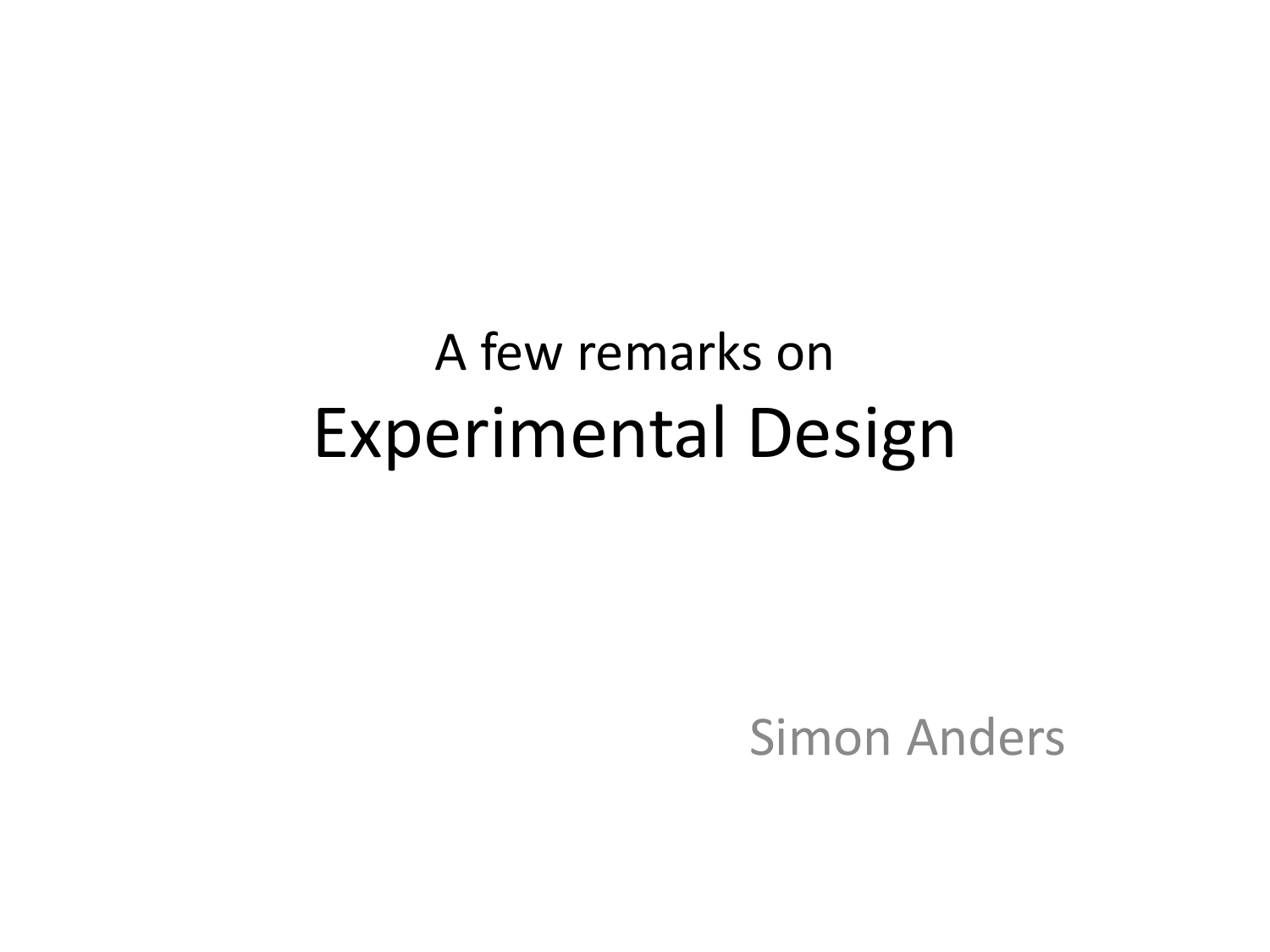### A few remarks on Experimental Design

Simon Anders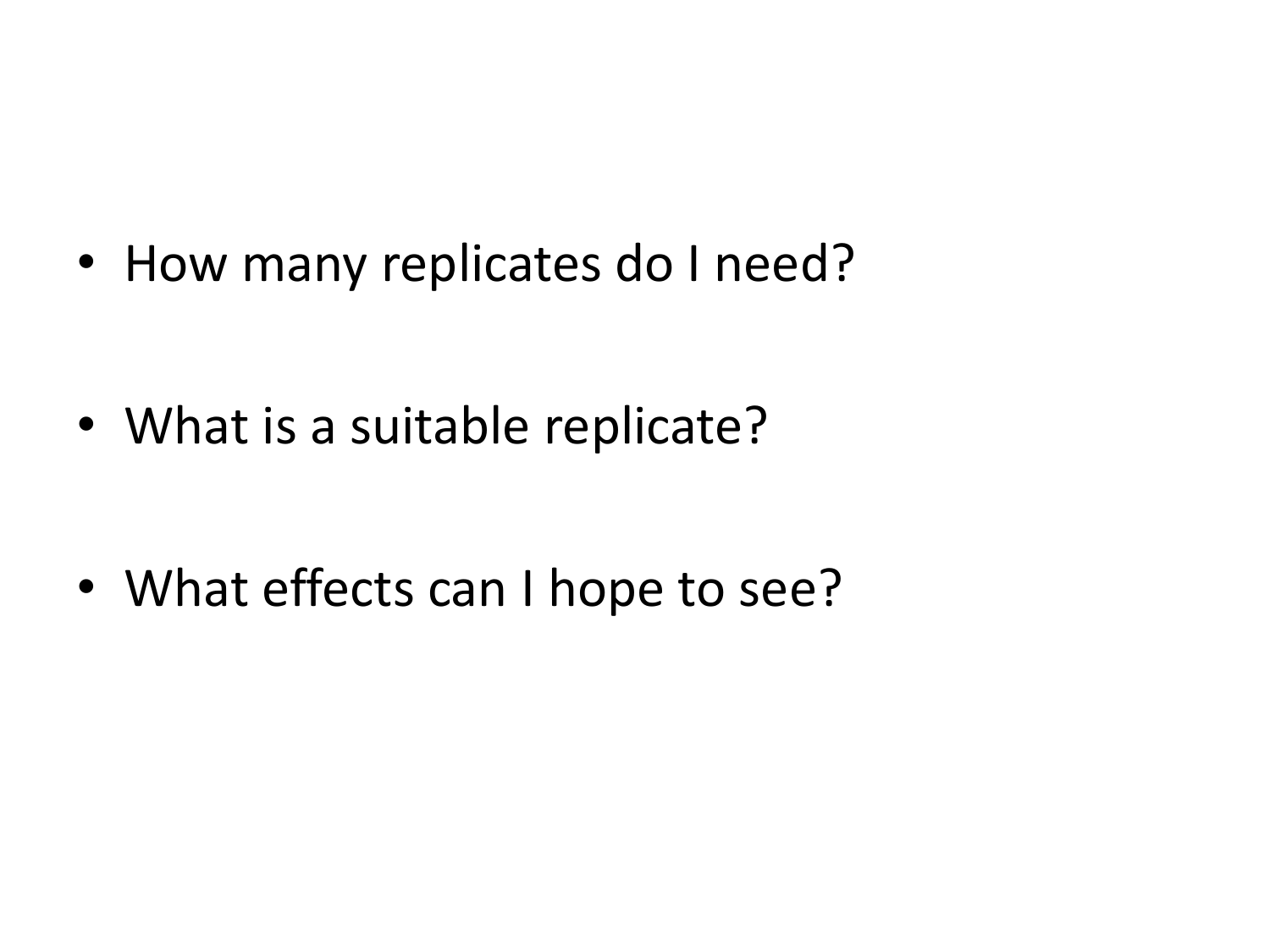• How many replicates do I need?

• What is a suitable replicate?

• What effects can I hope to see?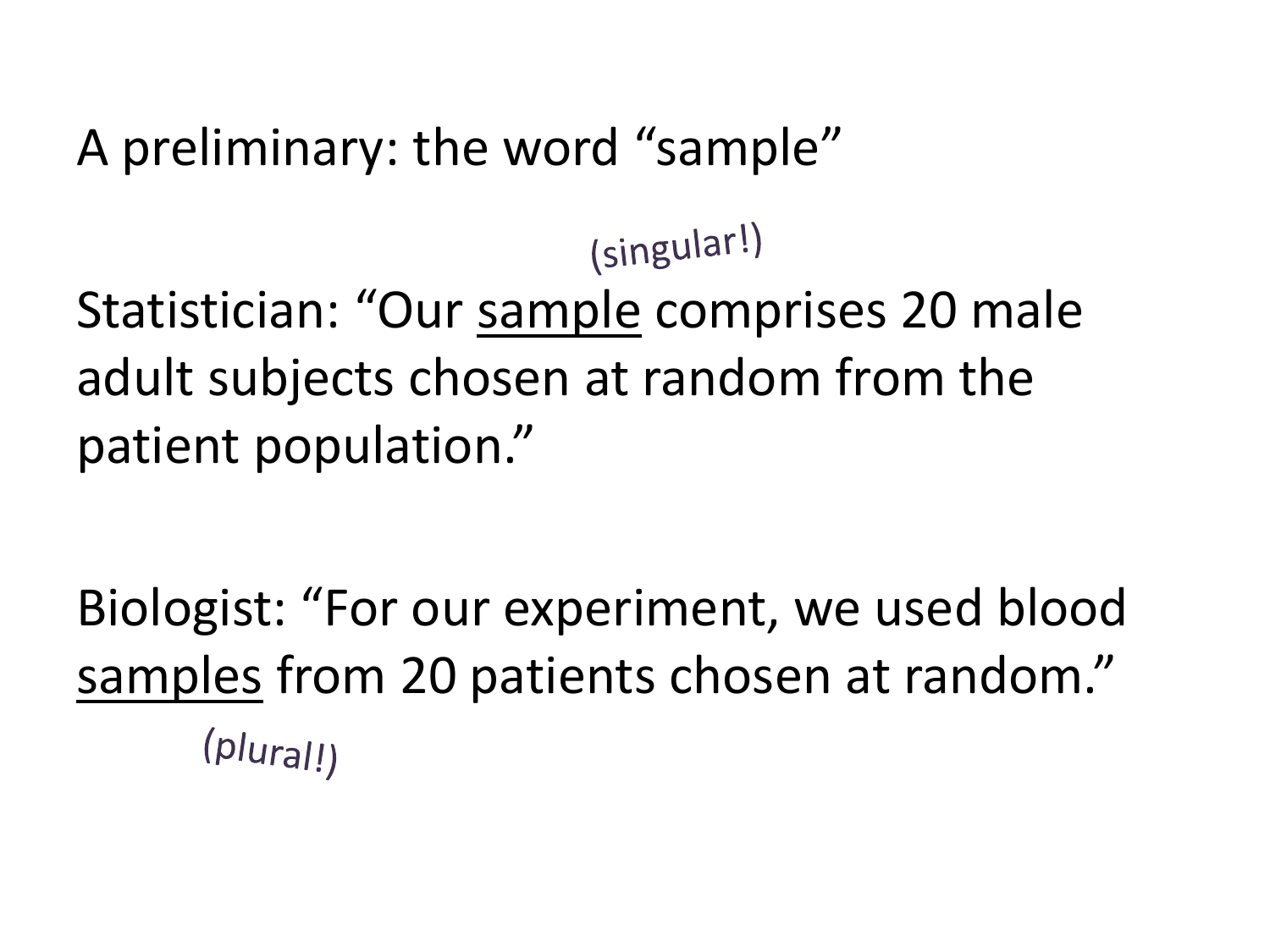A preliminary: the word "sample"

(singular!) Statistician: "Our sample comprises 20 male adult subjects chosen at random from the patient population."

Biologist: "For our experiment, we used blood samples from 20 patients chosen at random." $(plural!)$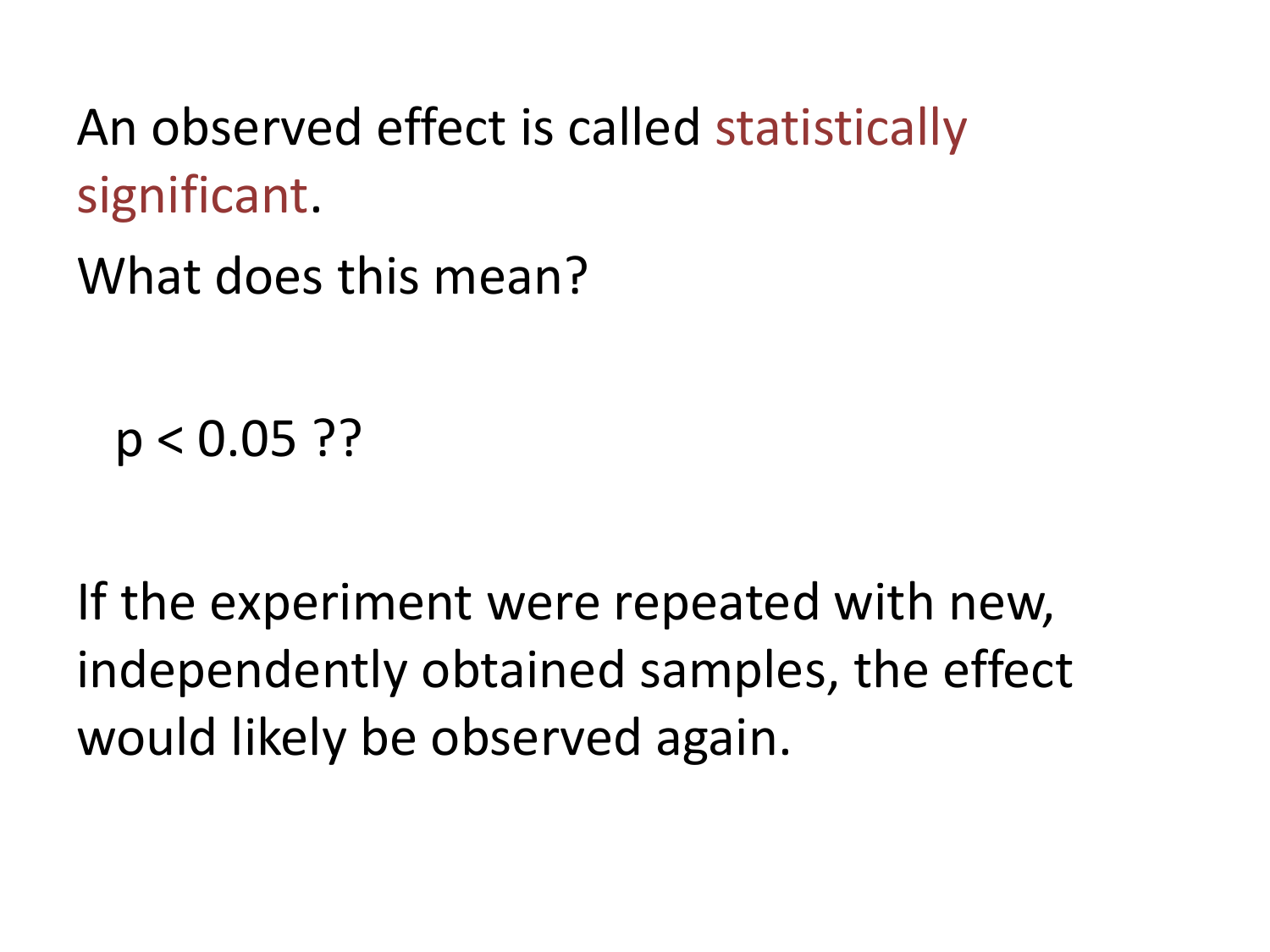An observed effect is called statistically significant.

What does this mean?

 $p < 0.05$  ??

If the experiment were repeated with new, independently obtained samples, the effect would likely be observed again.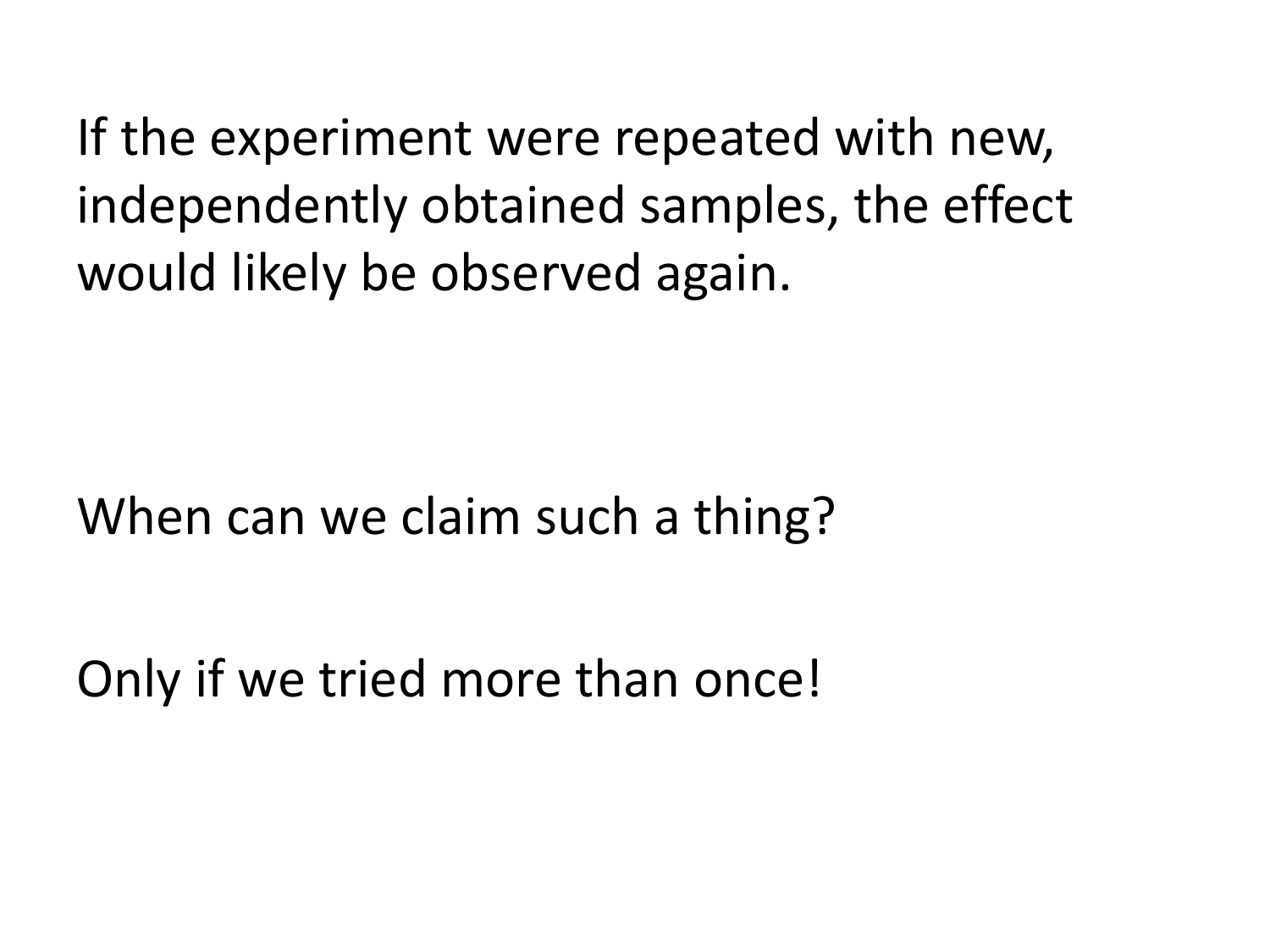If the experiment were repeated with new, independently obtained samples, the effect would likely be observed again.

When can we claim such a thing?

Only if we tried more than once!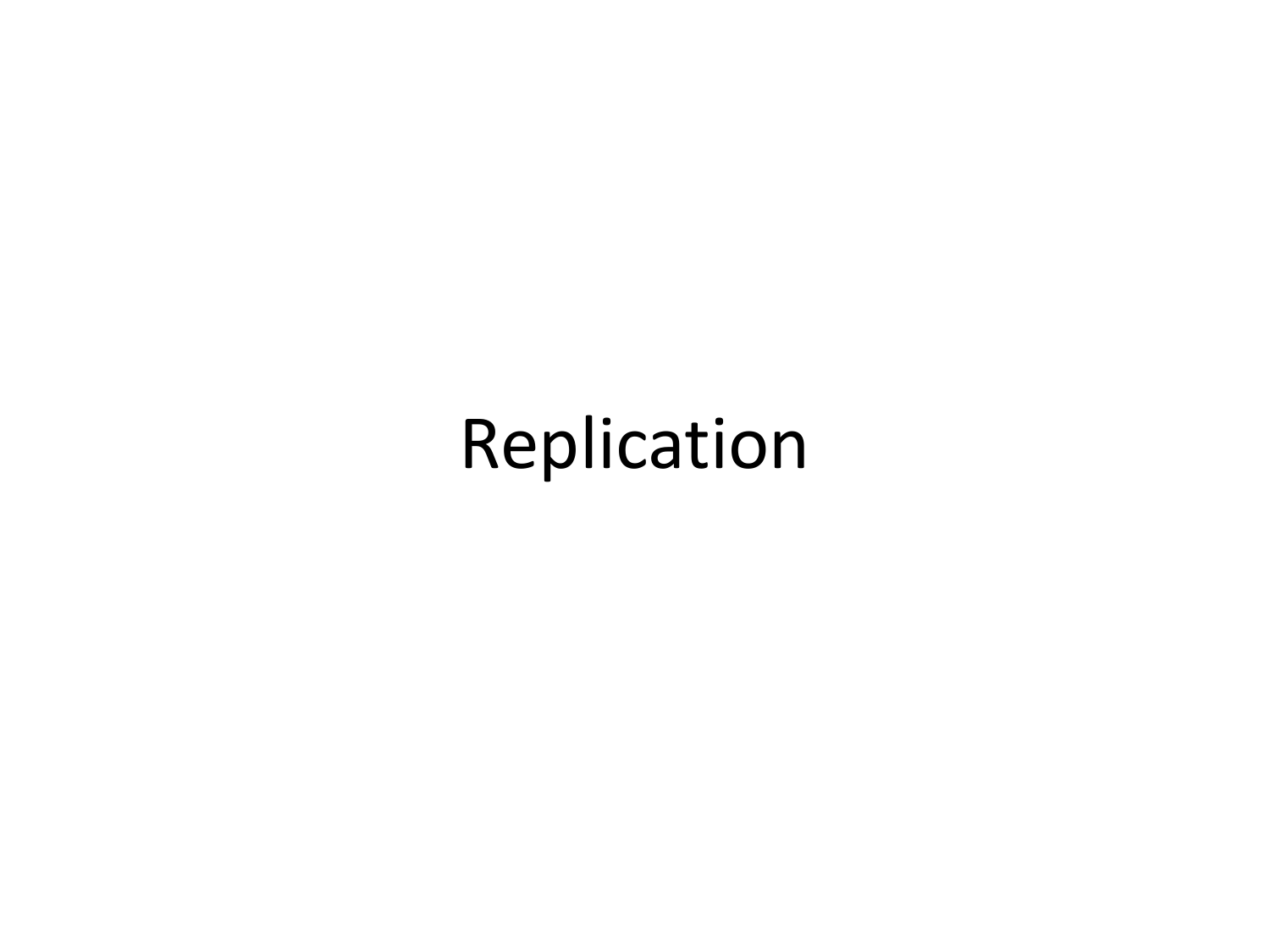### Replication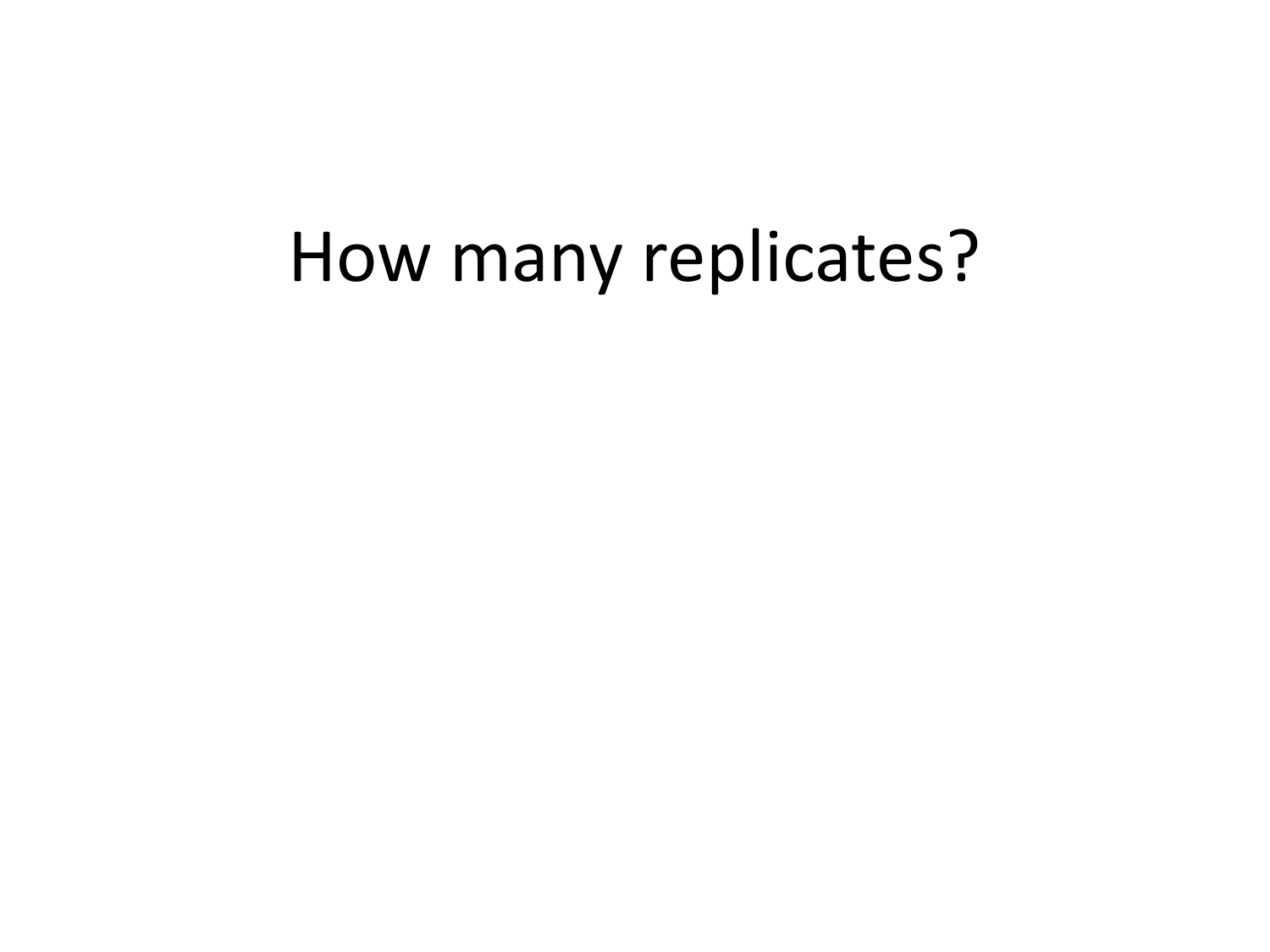### How many replicates?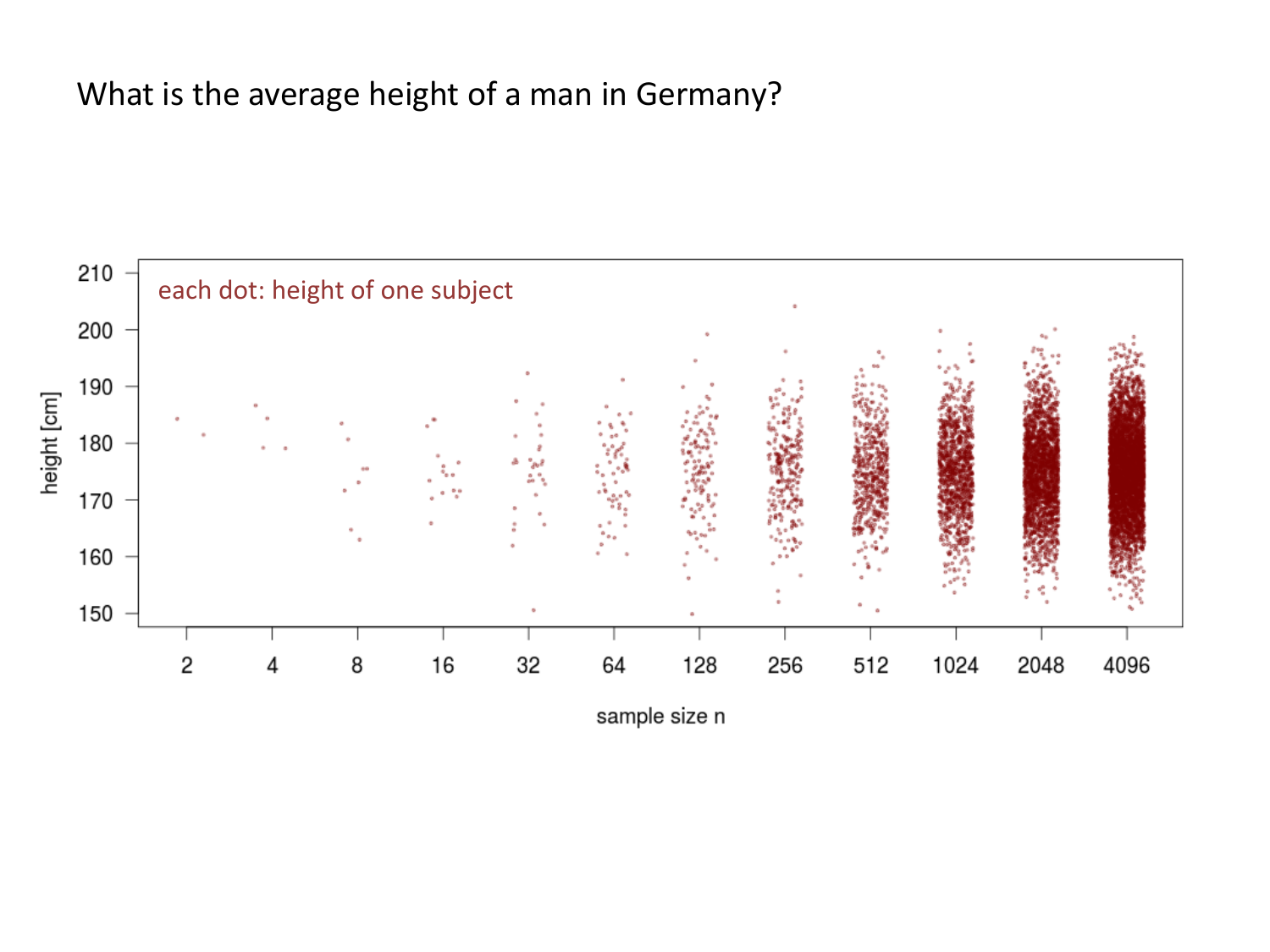#### What is the average height of a man in Germany?



sample size n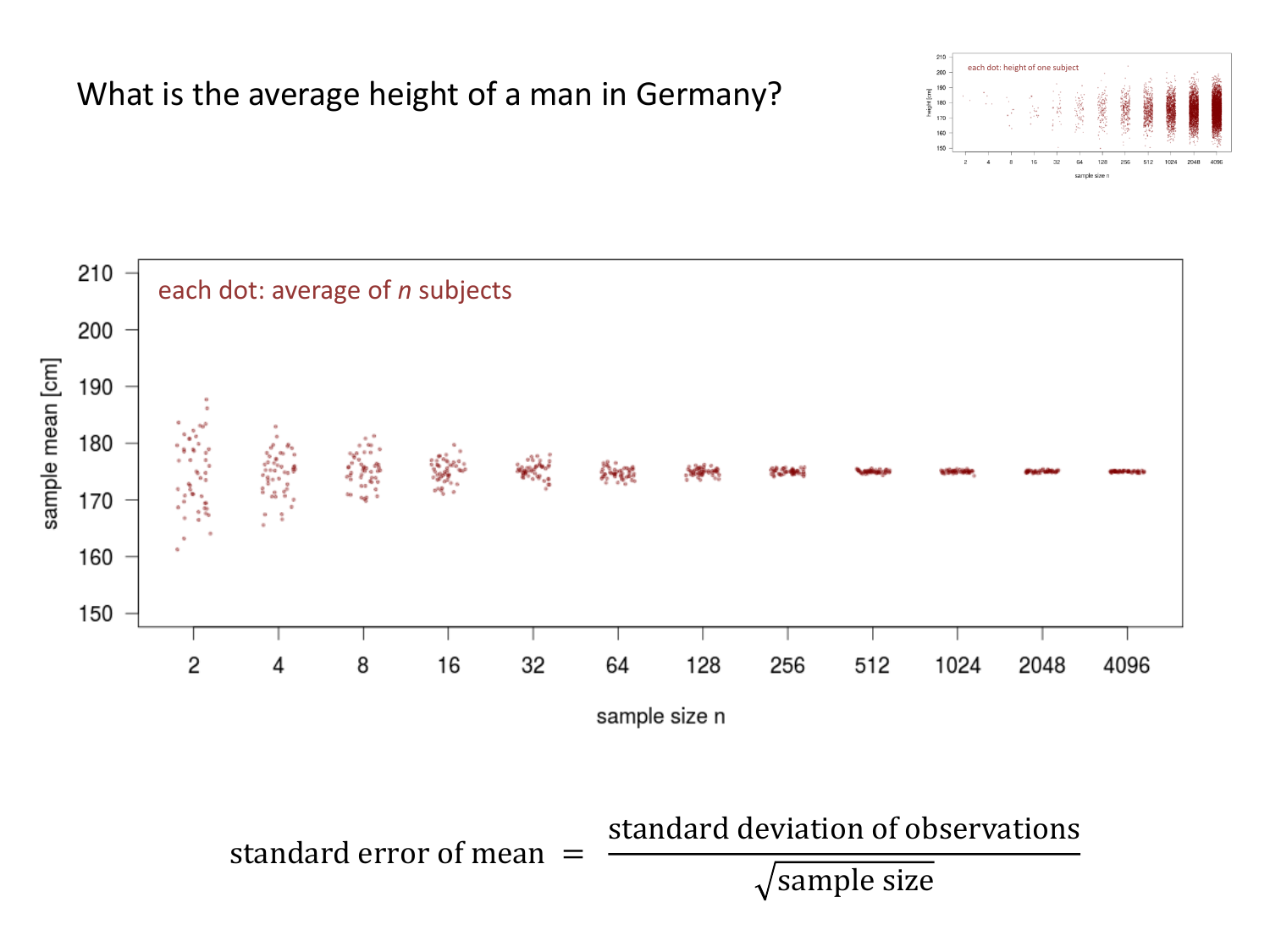#### What is the average height of a man in Germany?



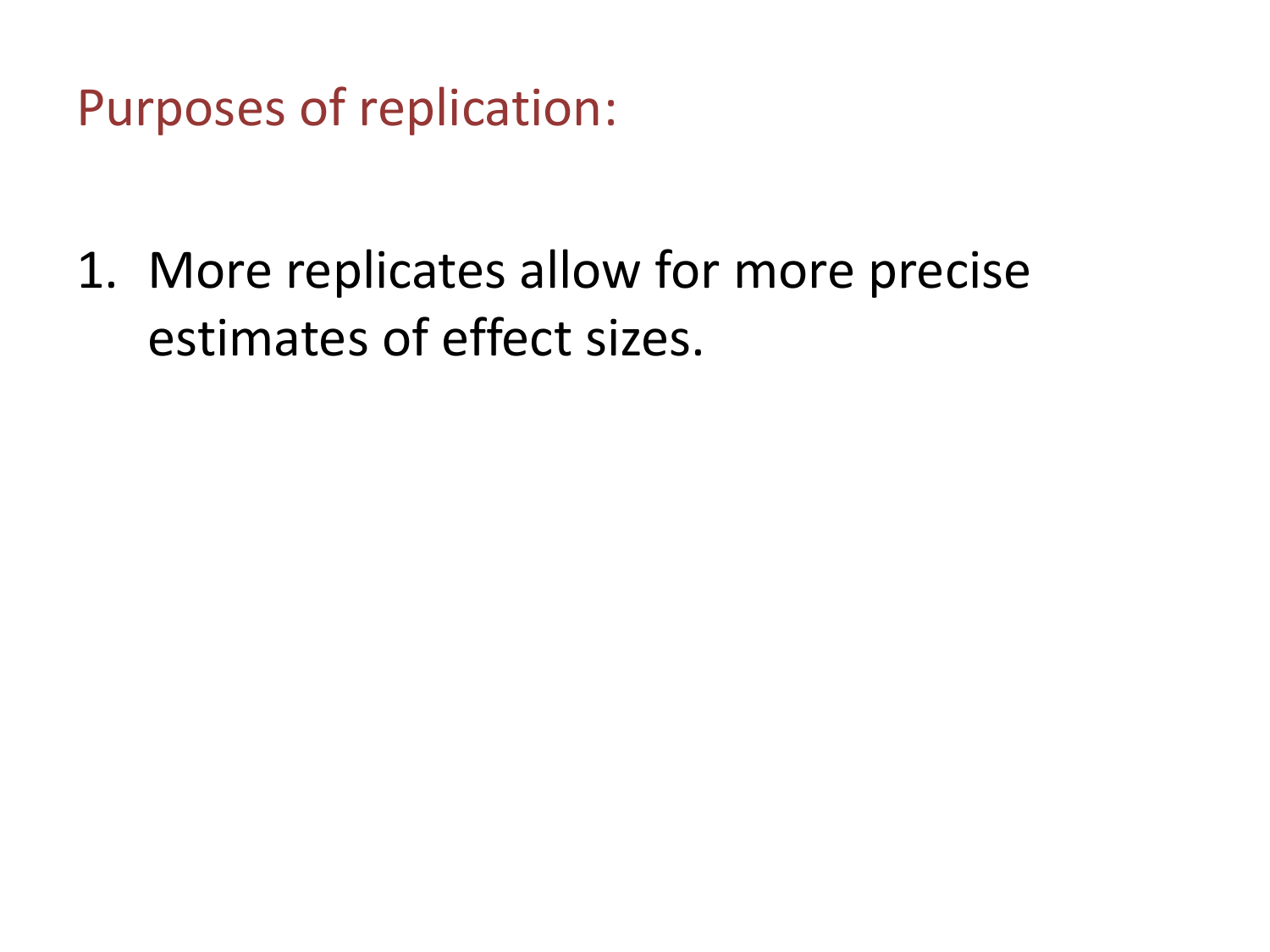Purposes of replication:

1. More replicates allow for more precise estimates of effect sizes.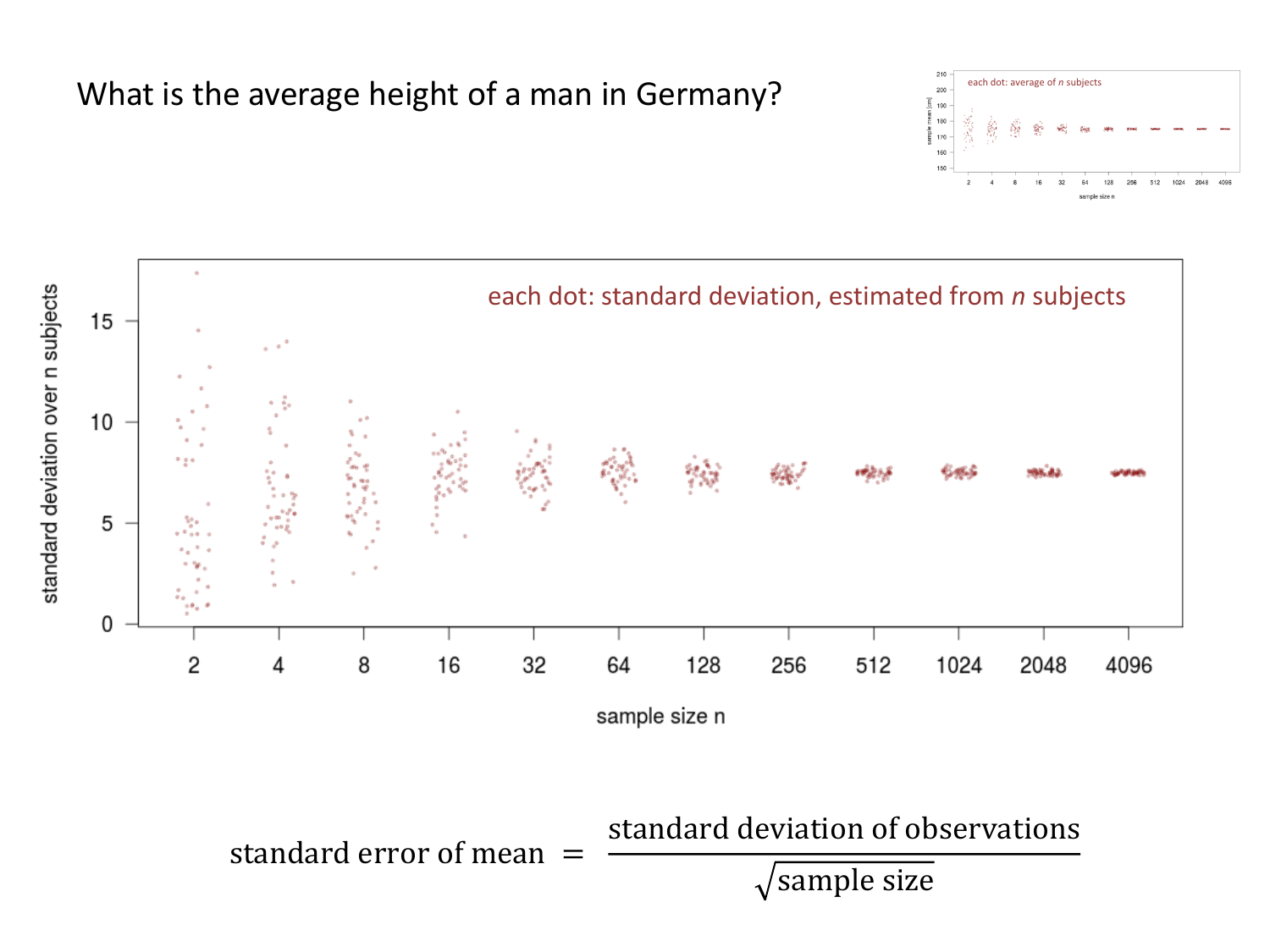#### $200$ 190 180 을<br>등 170 160 150  $\overline{2}$

each dot: height of one subject

each dot: average of *n* subjects

512 1024 2048



What is the average height of a man in Germany?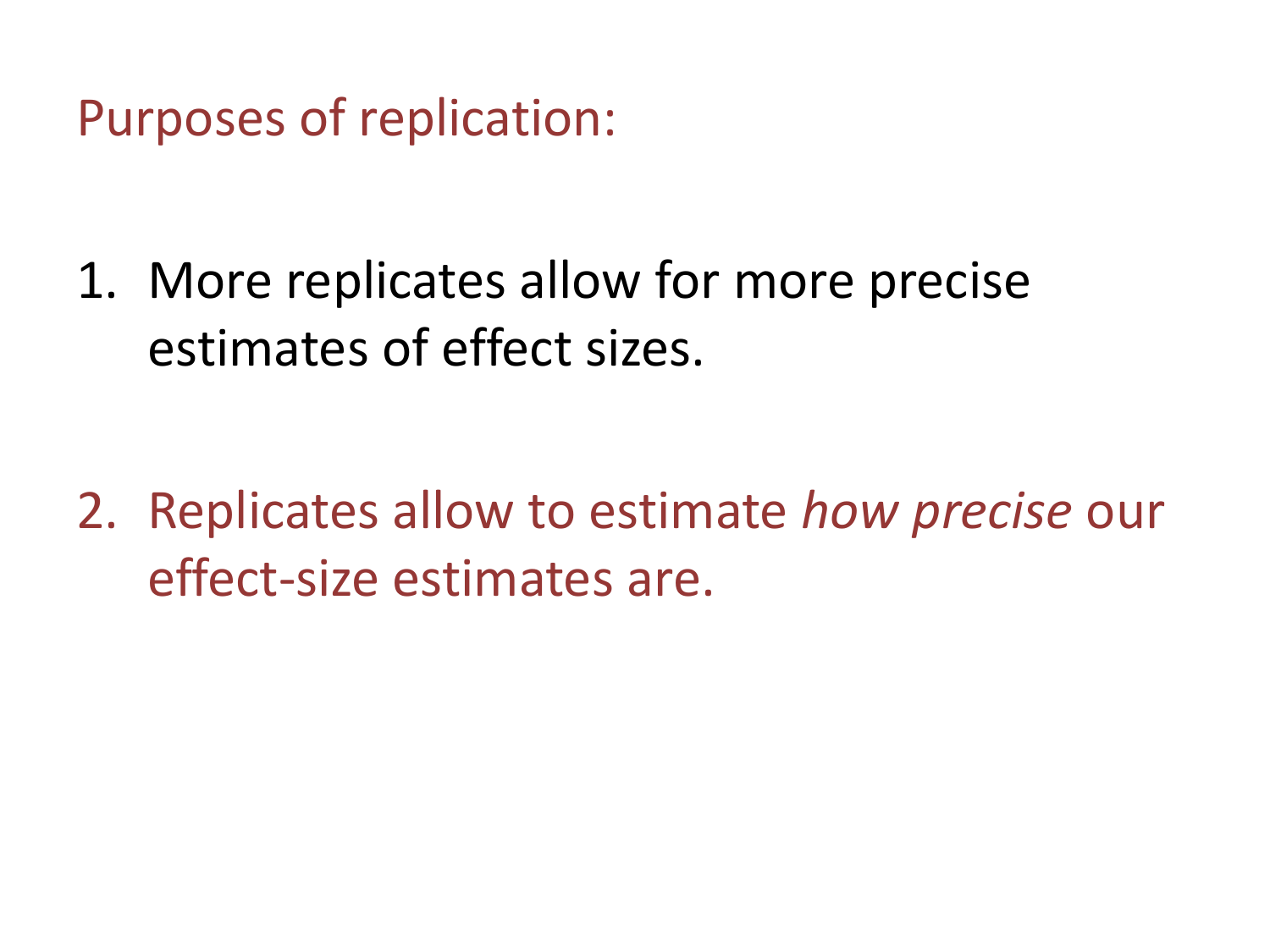Purposes of replication:

1. More replicates allow for more precise estimates of effect sizes.

2. Replicates allow to estimate *how precise* our effect-size estimates are.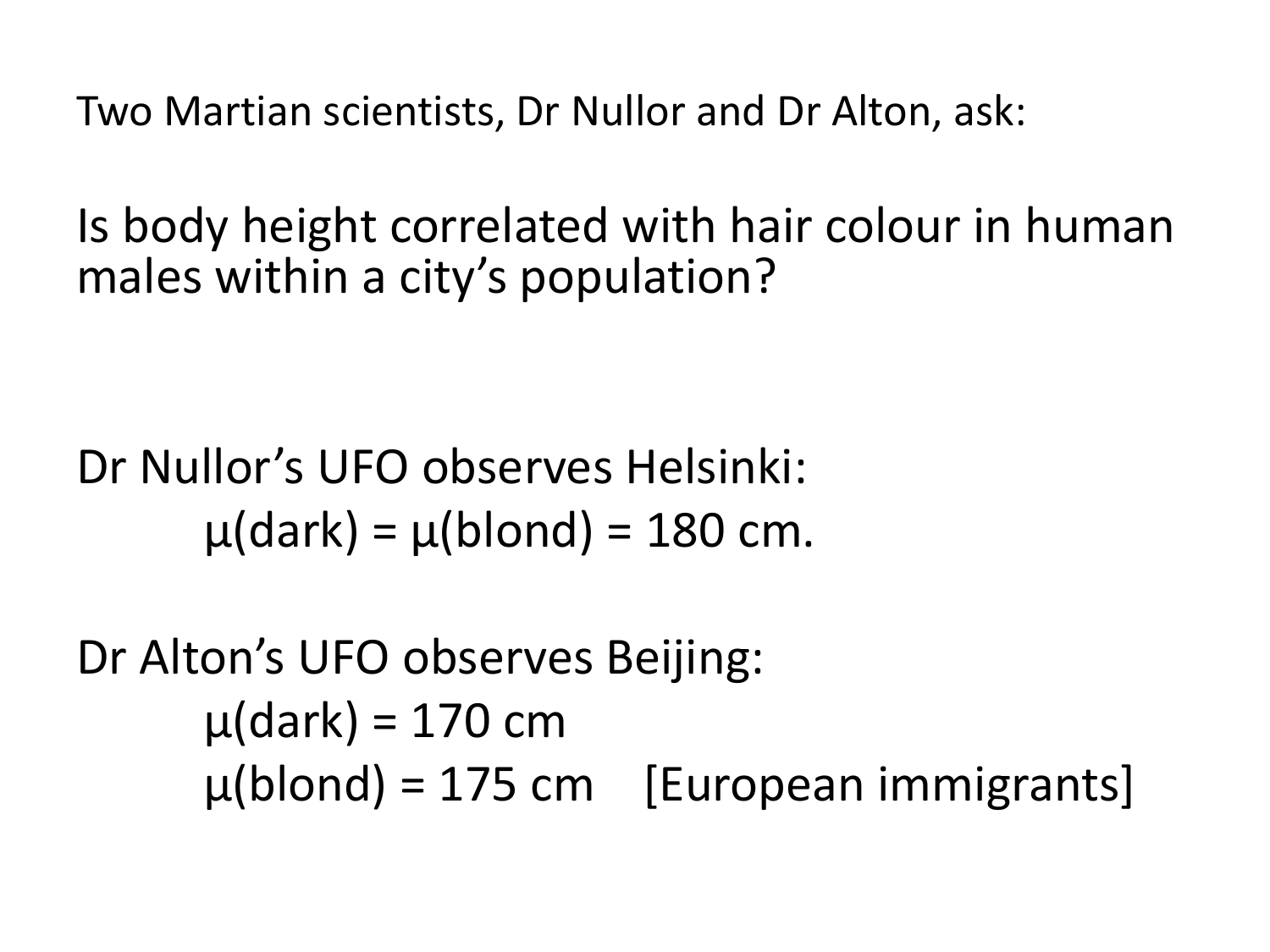Two Martian scientists, Dr Nullor and Dr Alton, ask:

Is body height correlated with hair colour in human males within a city's population?

Dr Nullor's UFO observes Helsinki:  $\mu$ (dark) =  $\mu$ (blond) = 180 cm.

Dr Alton's UFO observes Beijing:  $\mu$ (dark) = 170 cm  $\mu$ (blond) = 175 cm [European immigrants]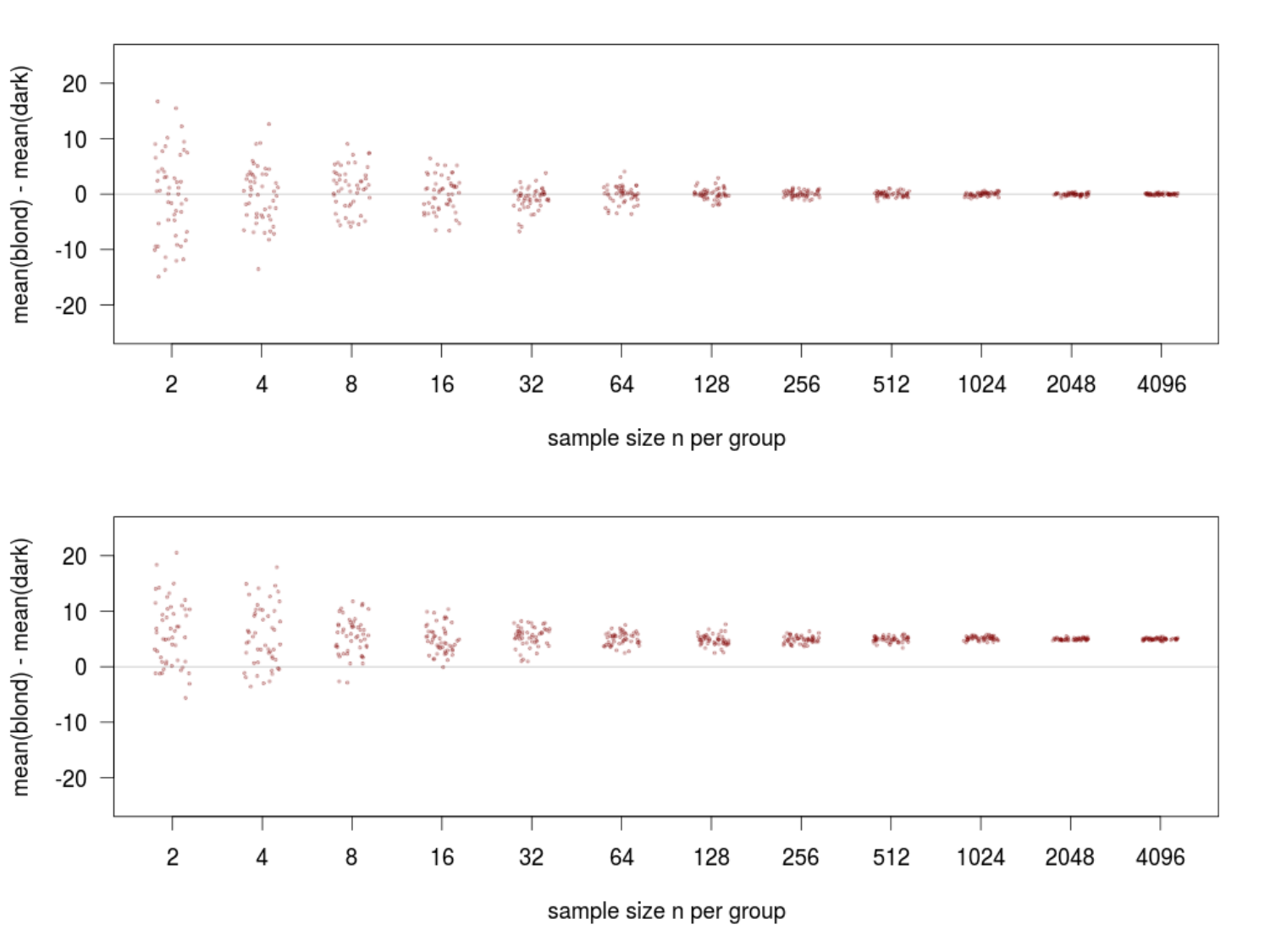

sample size n per group



sample size n per group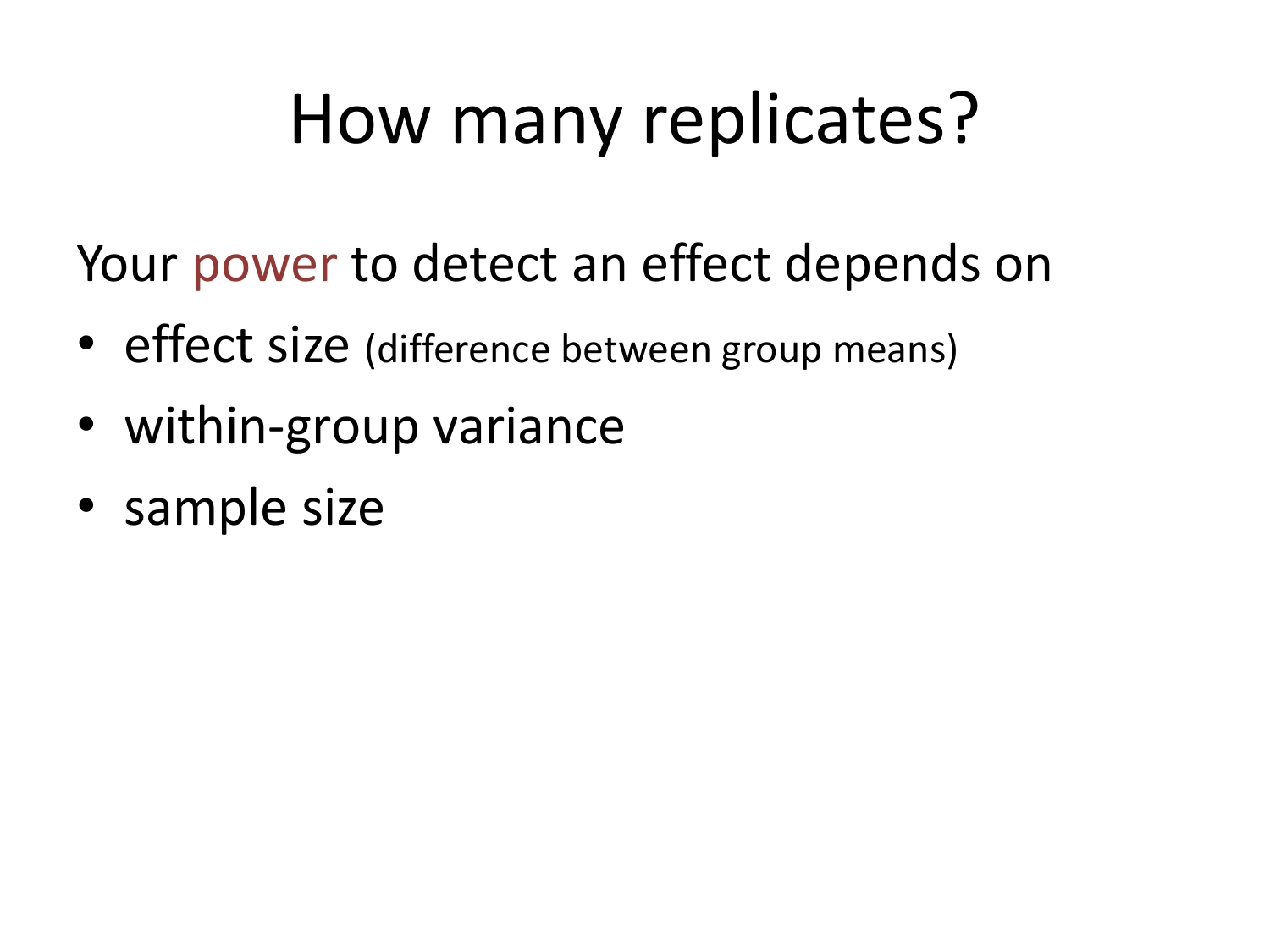# How many replicates?

Your power to detect an effect depends on

- effect size (difference between group means)
- within-group variance
- sample size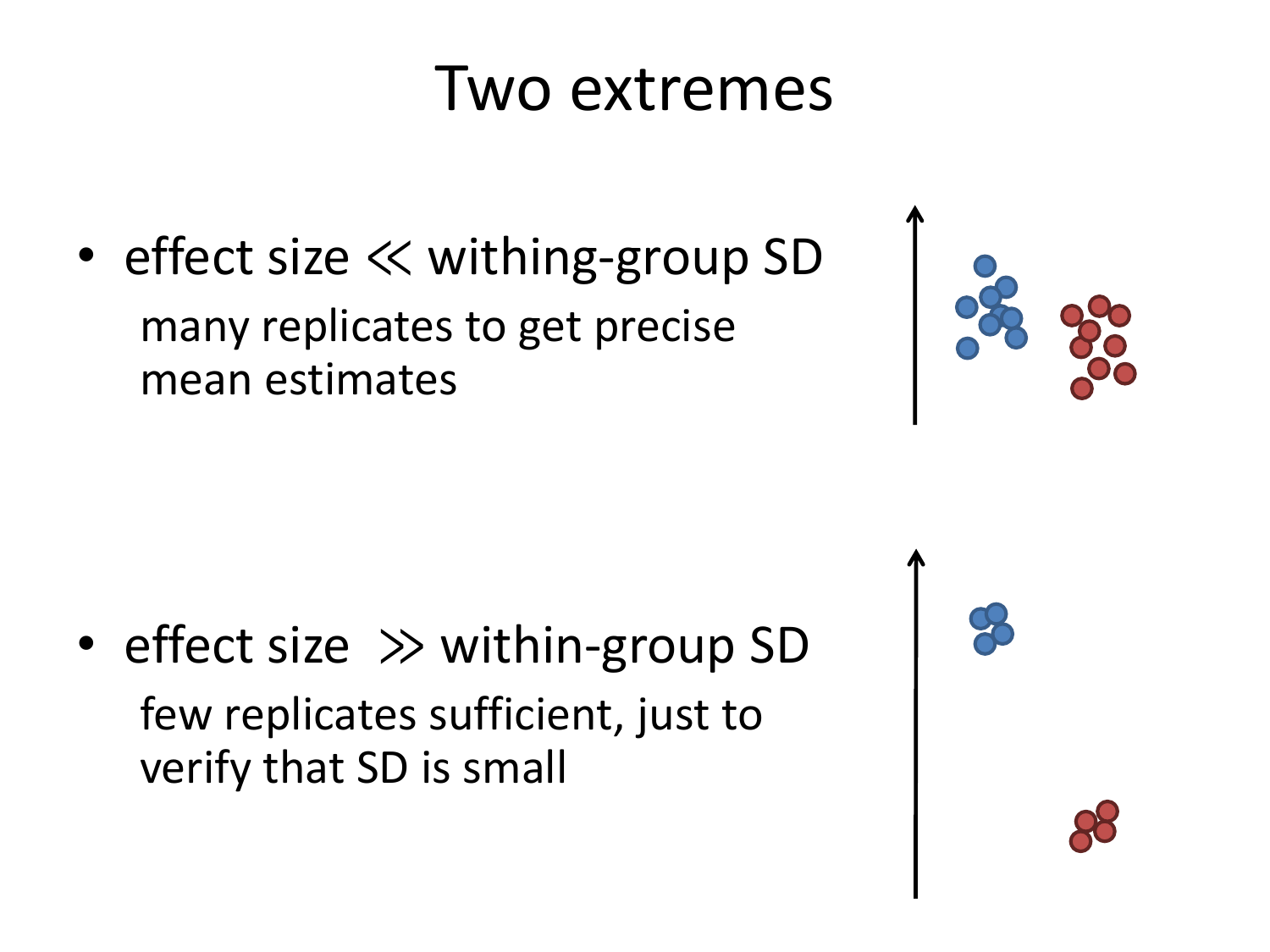### Two extremes

• effect size ≪ withing-group SD many replicates to get precise mean estimates

• effect size ≫ within-group SD few replicates sufficient, just to verify that SD is small



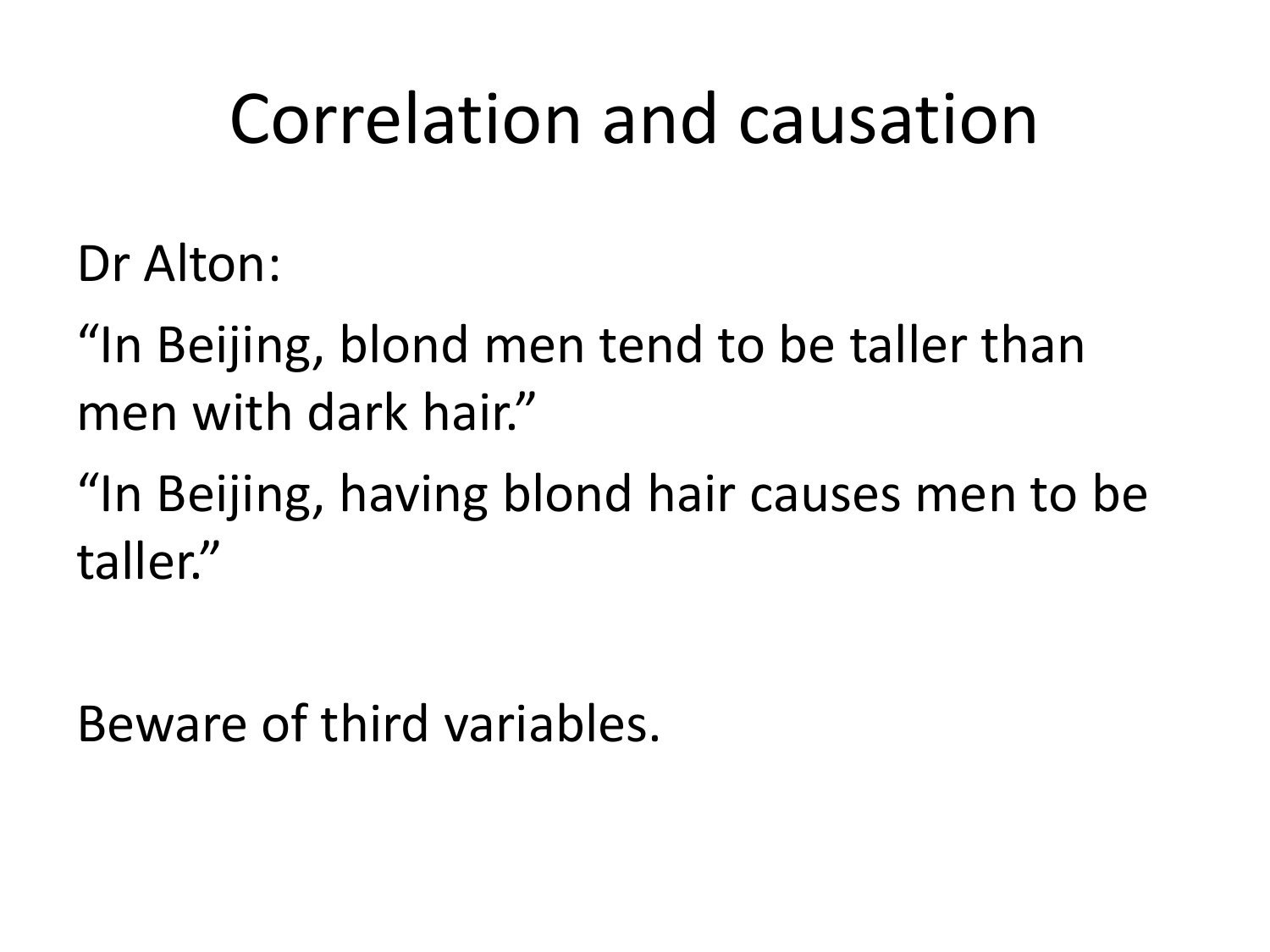### Correlation and causation

Dr Alton:

"In Beijing, blond men tend to be taller than men with dark hair."

"In Beijing, having blond hair causes men to be taller."

Beware of third variables.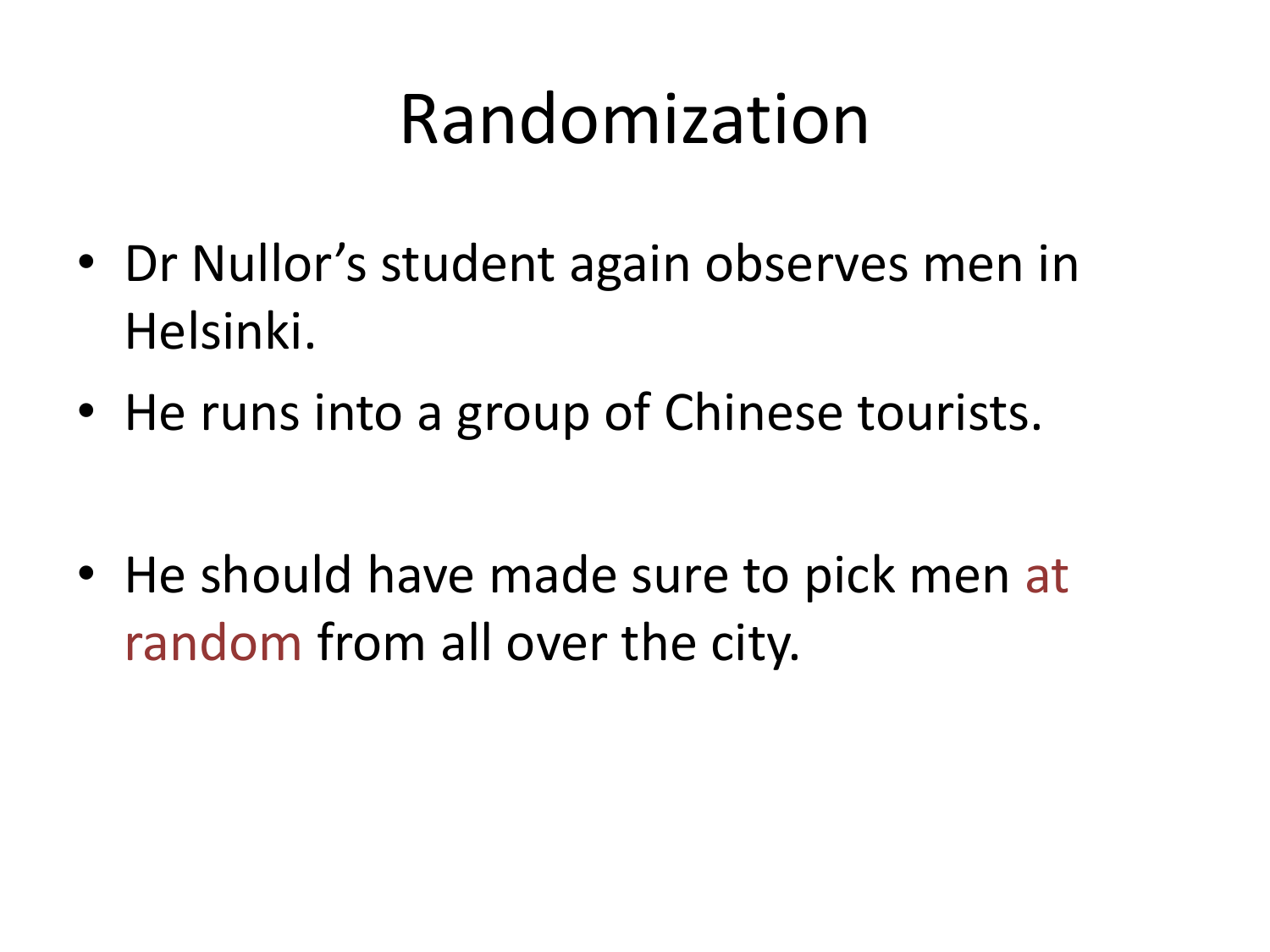### Randomization

- Dr Nullor's student again observes men in Helsinki.
- He runs into a group of Chinese tourists.

• He should have made sure to pick men at random from all over the city.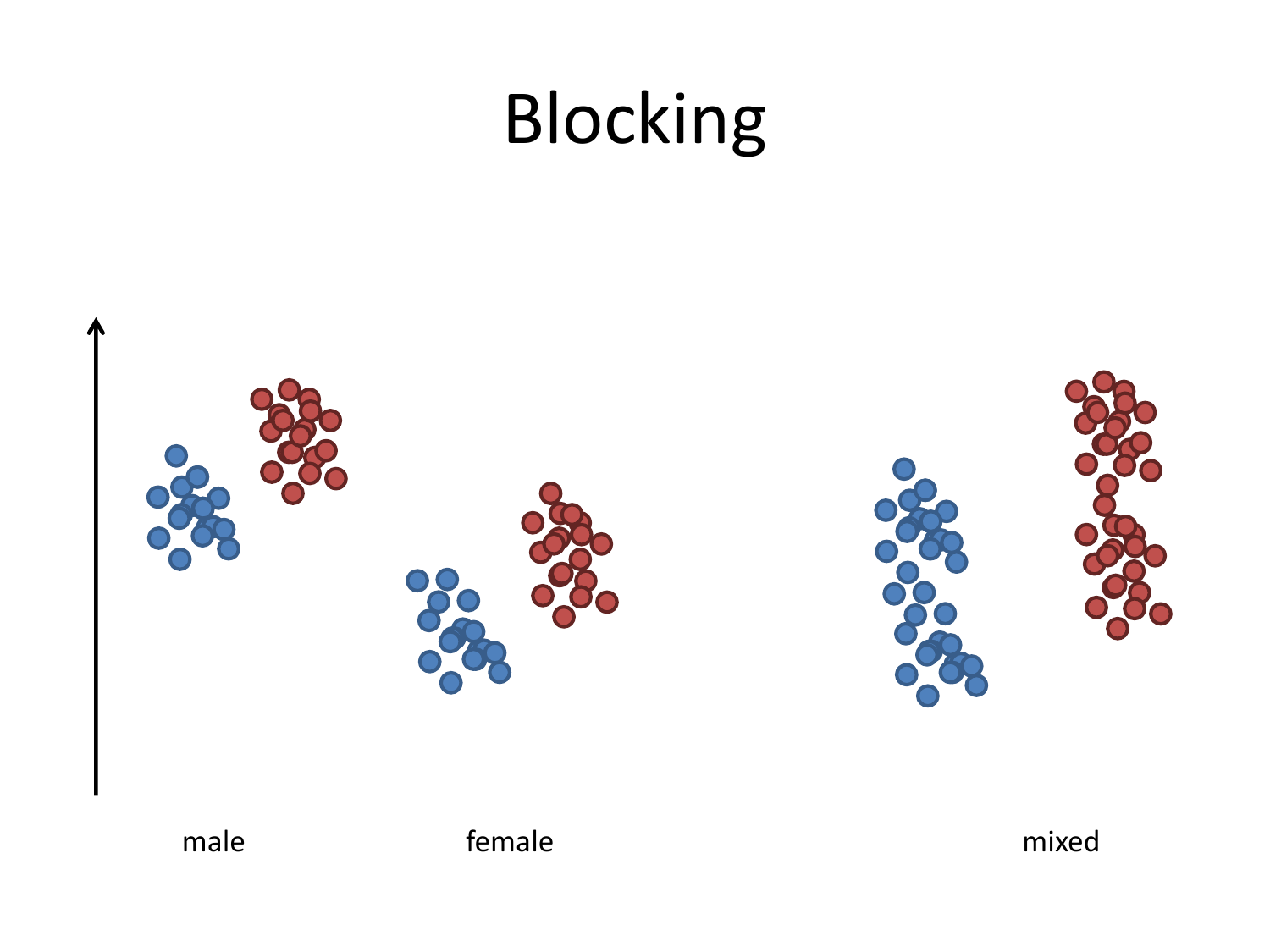# Blocking

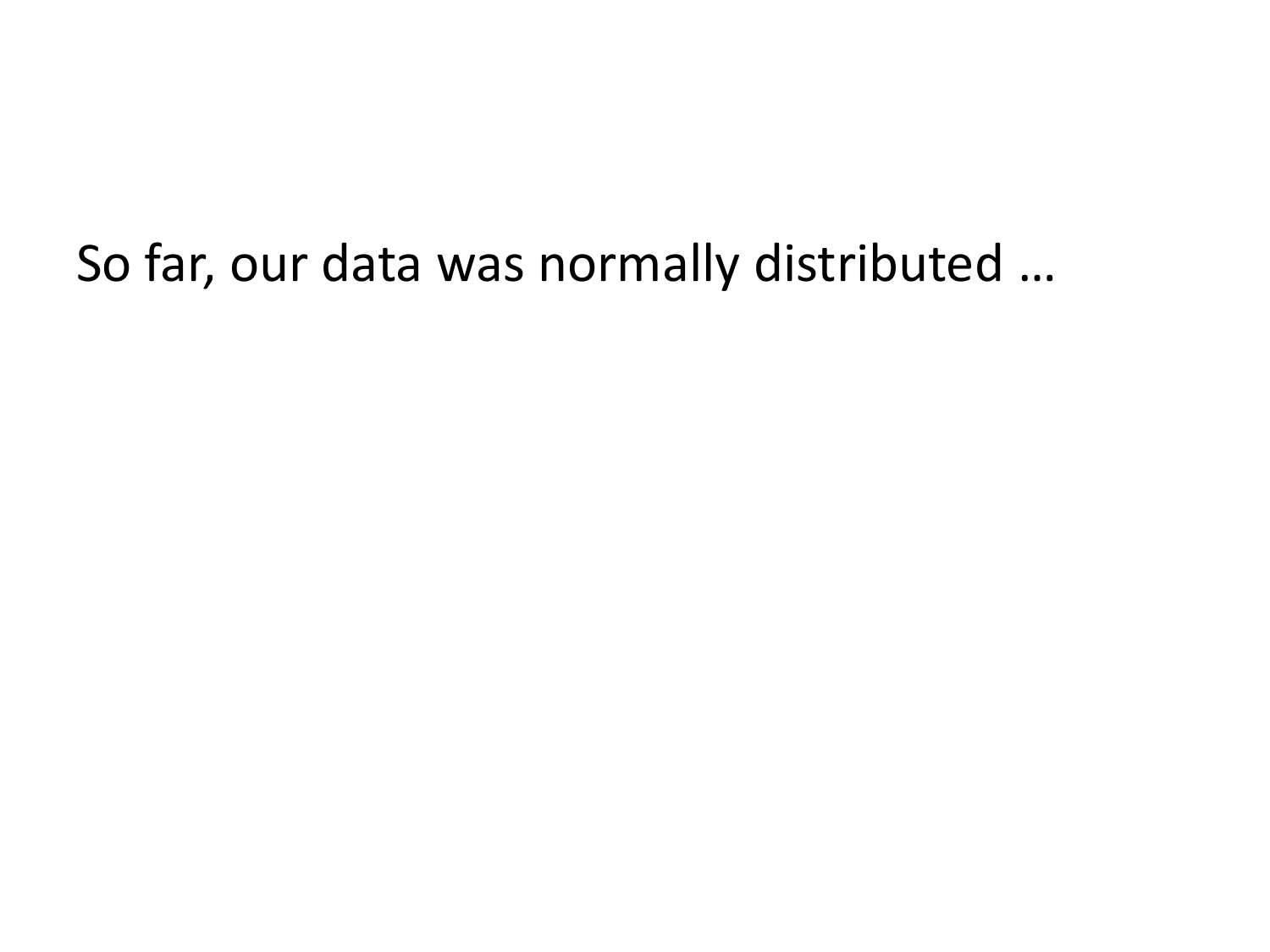#### So far, our data was normally distributed …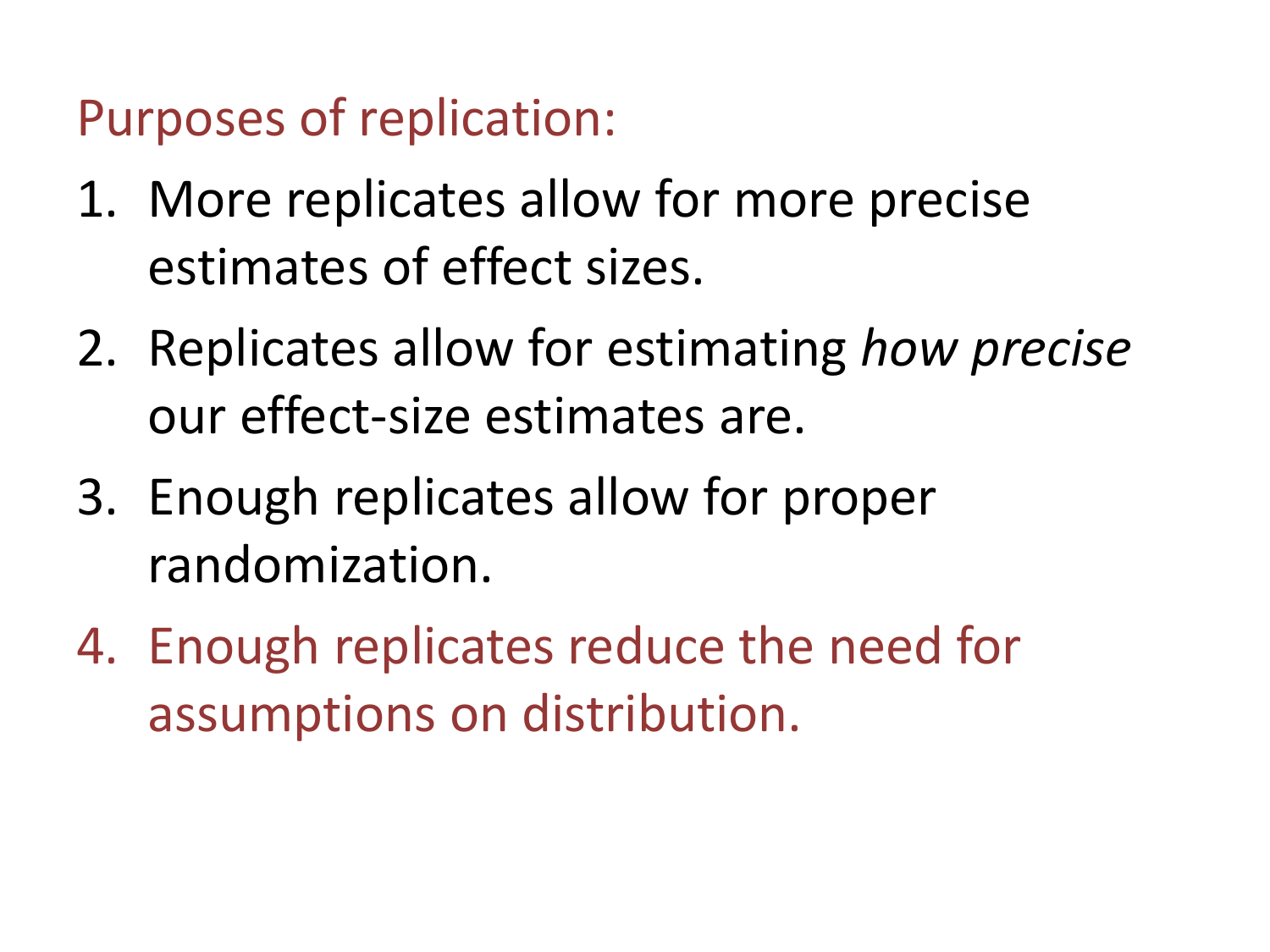Purposes of replication:

- 1. More replicates allow for more precise estimates of effect sizes.
- 2. Replicates allow for estimating *how precise* our effect-size estimates are.
- 3. Enough replicates allow for proper randomization.
- 4. Enough replicates reduce the need for assumptions on distribution.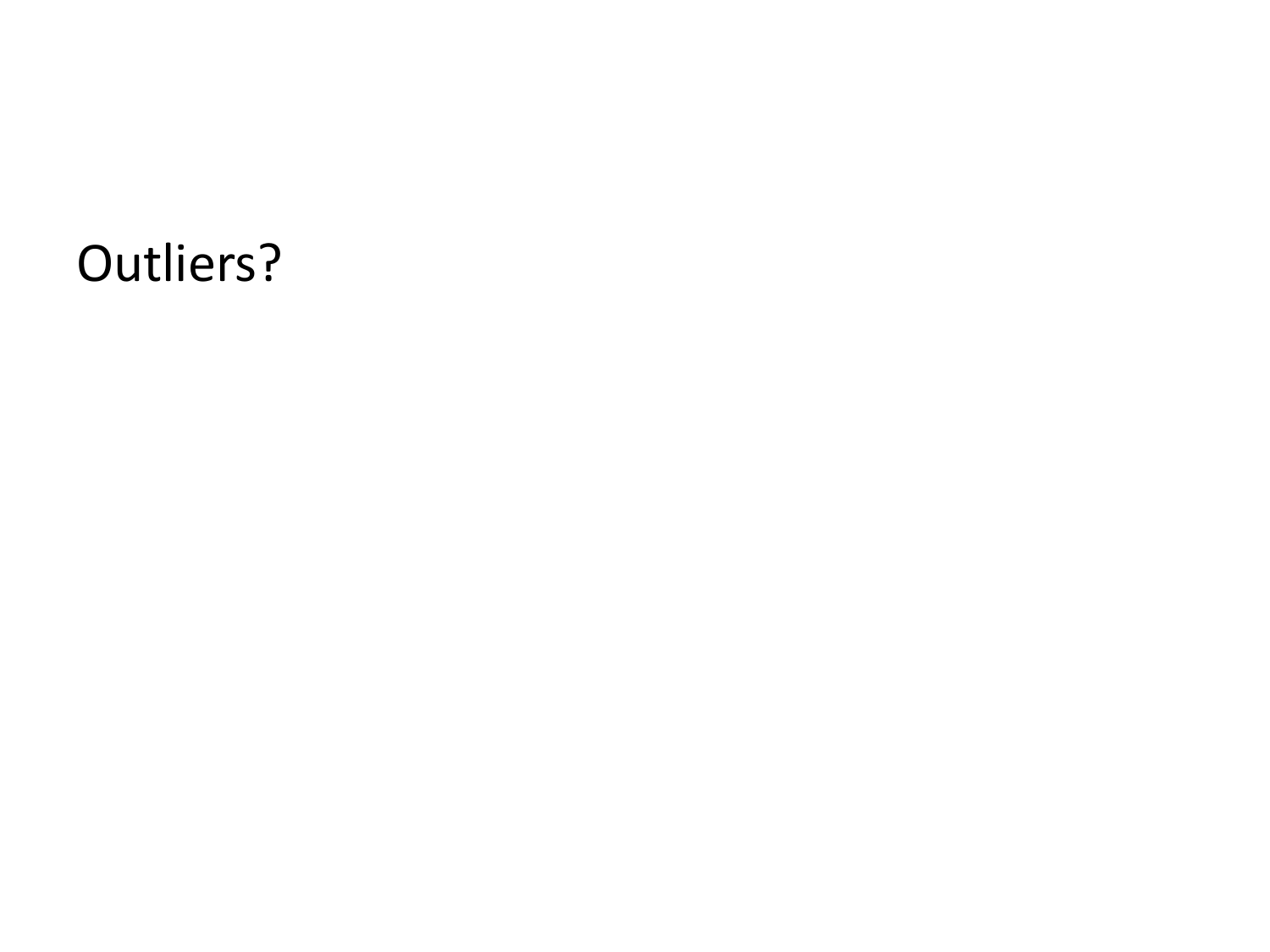#### Outliers?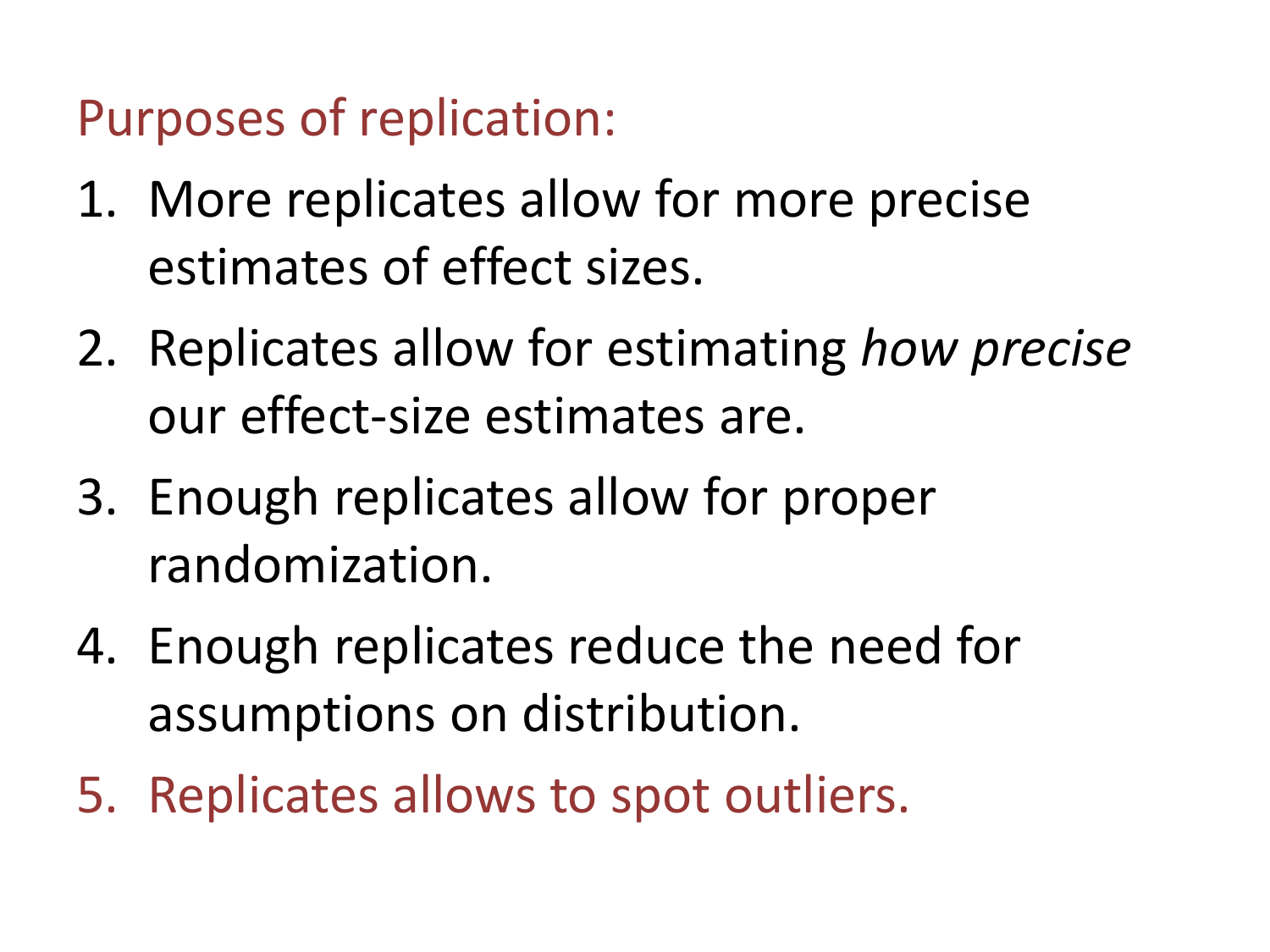Purposes of replication:

- 1. More replicates allow for more precise estimates of effect sizes.
- 2. Replicates allow for estimating *how precise* our effect-size estimates are.
- 3. Enough replicates allow for proper randomization.
- 4. Enough replicates reduce the need for assumptions on distribution.
- 5. Replicates allows to spot outliers.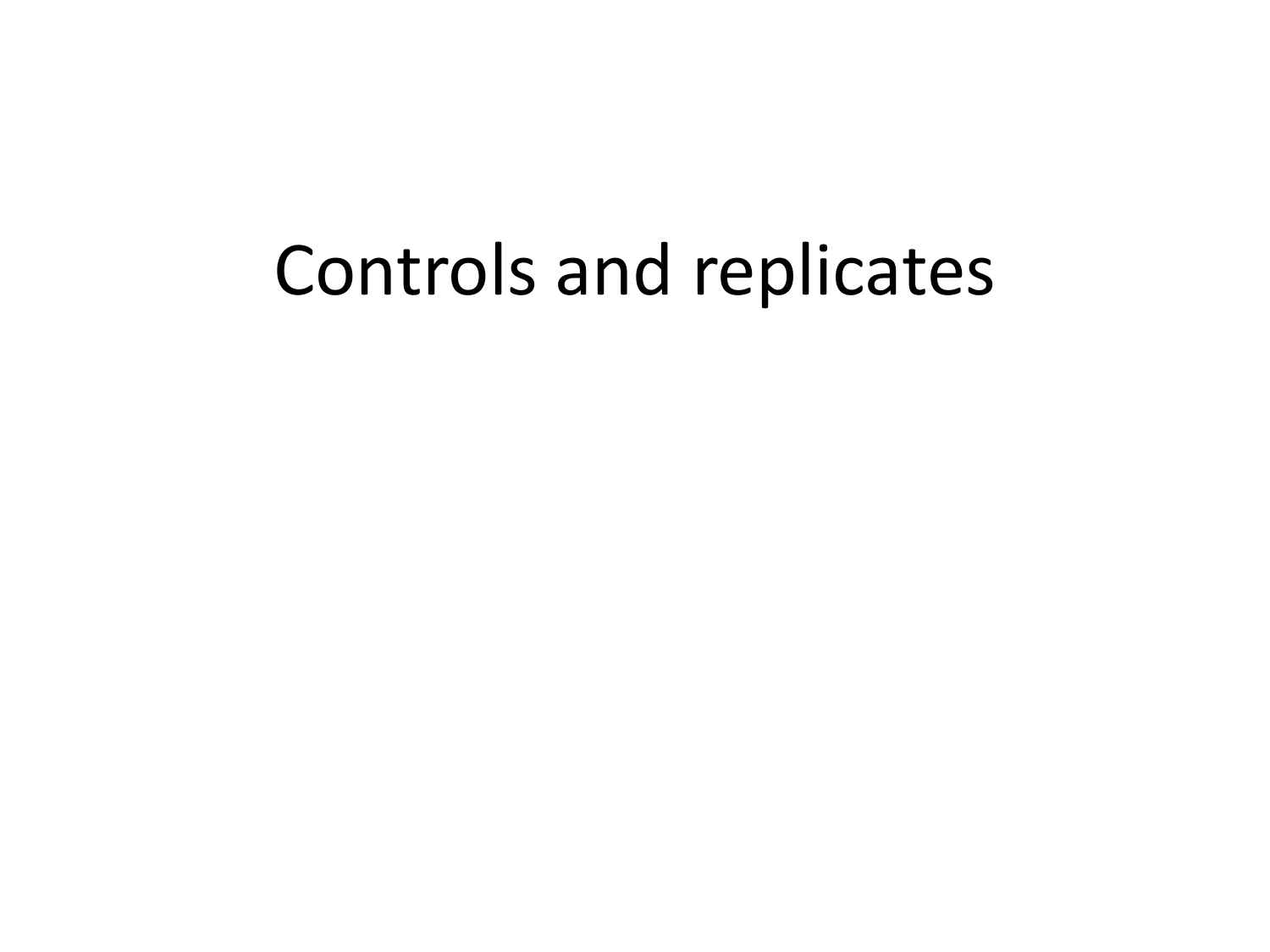### Controls and replicates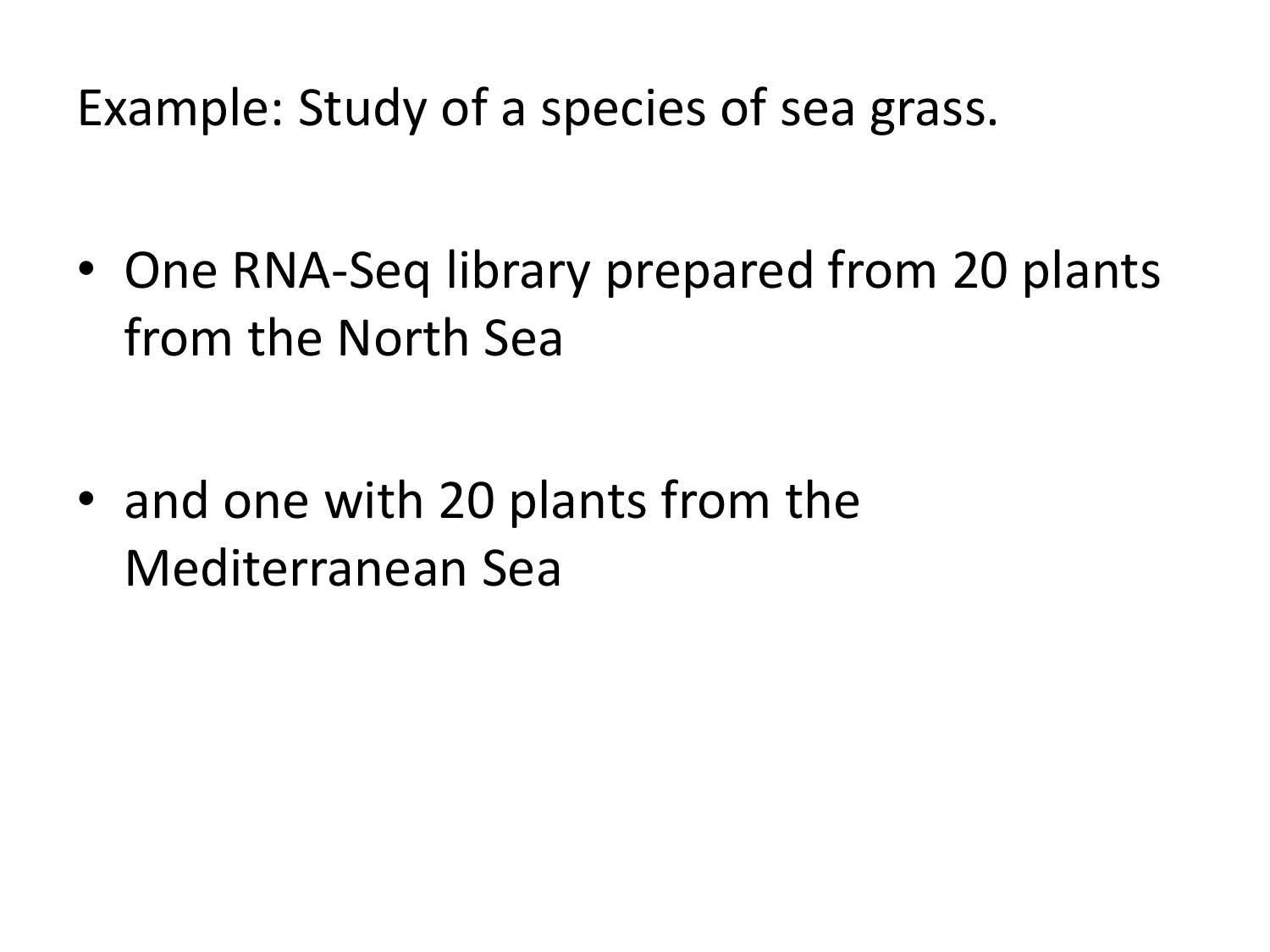Example: Study of a species of sea grass.

• One RNA-Seq library prepared from 20 plants from the North Sea

• and one with 20 plants from the Mediterranean Sea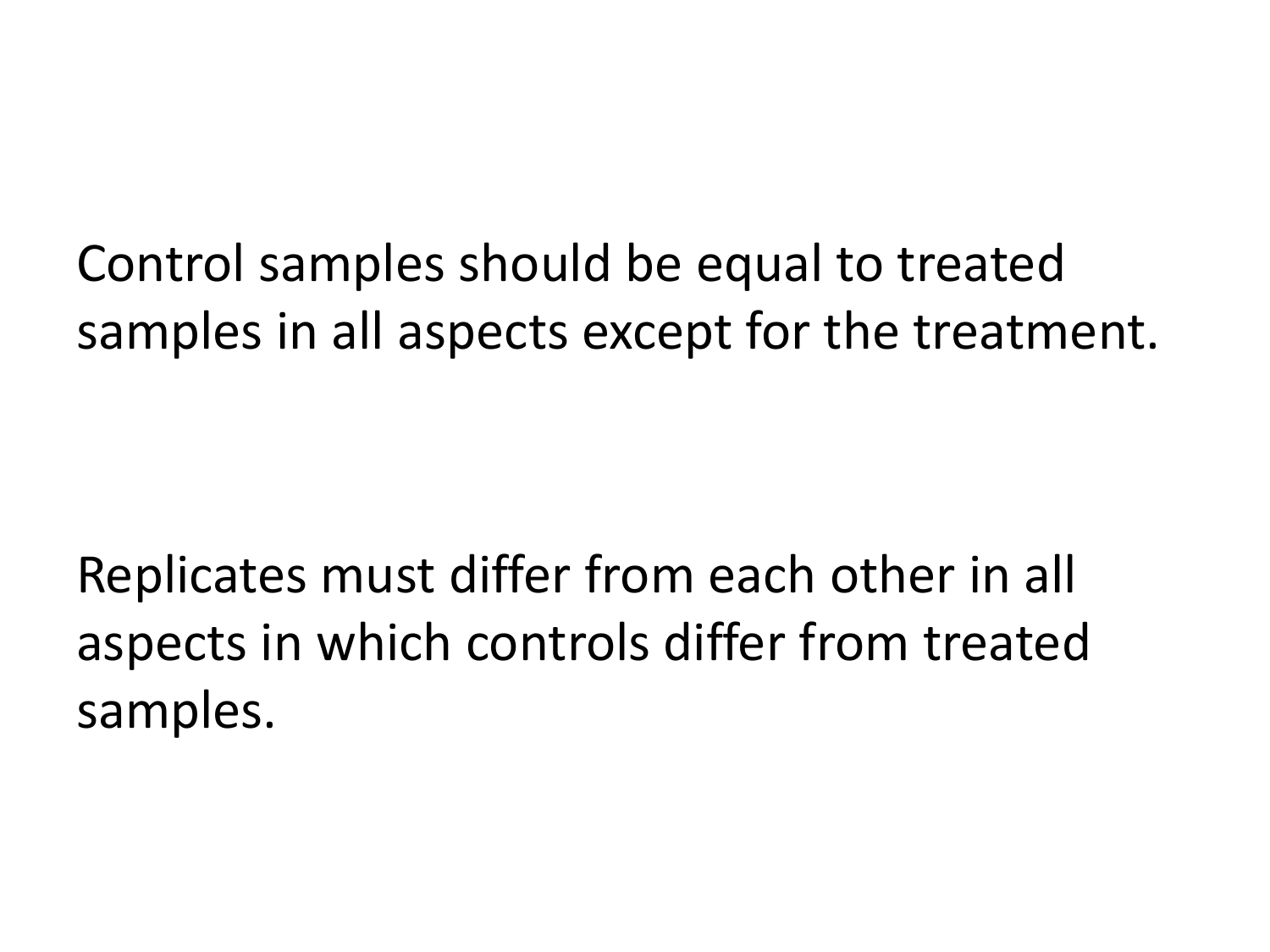Control samples should be equal to treated samples in all aspects except for the treatment.

Replicates must differ from each other in all aspects in which controls differ from treated samples.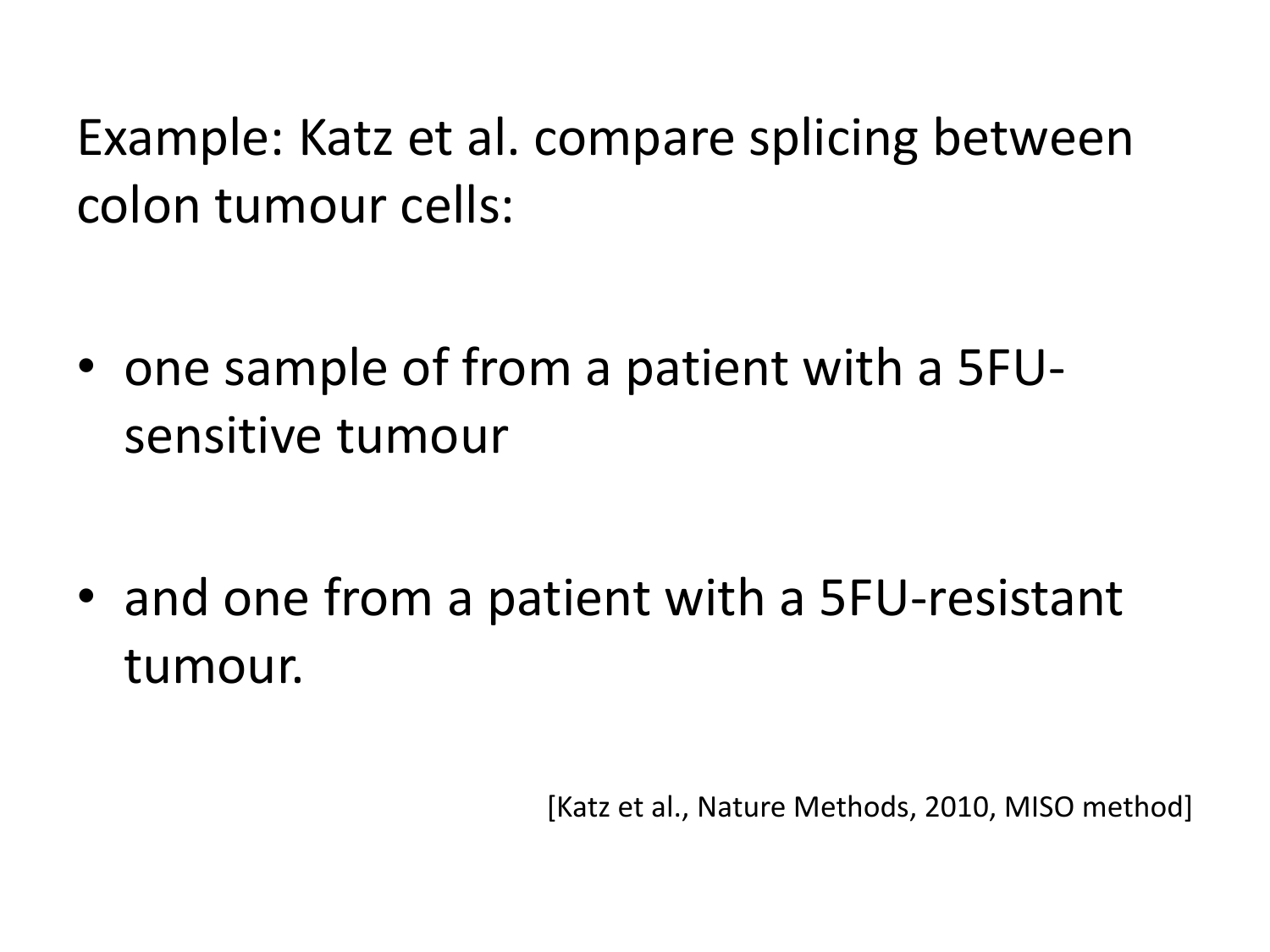Example: Katz et al. compare splicing between colon tumour cells:

• one sample of from a patient with a 5FUsensitive tumour

• and one from a patient with a 5FU-resistant tumour.

[Katz et al., Nature Methods, 2010, MISO method]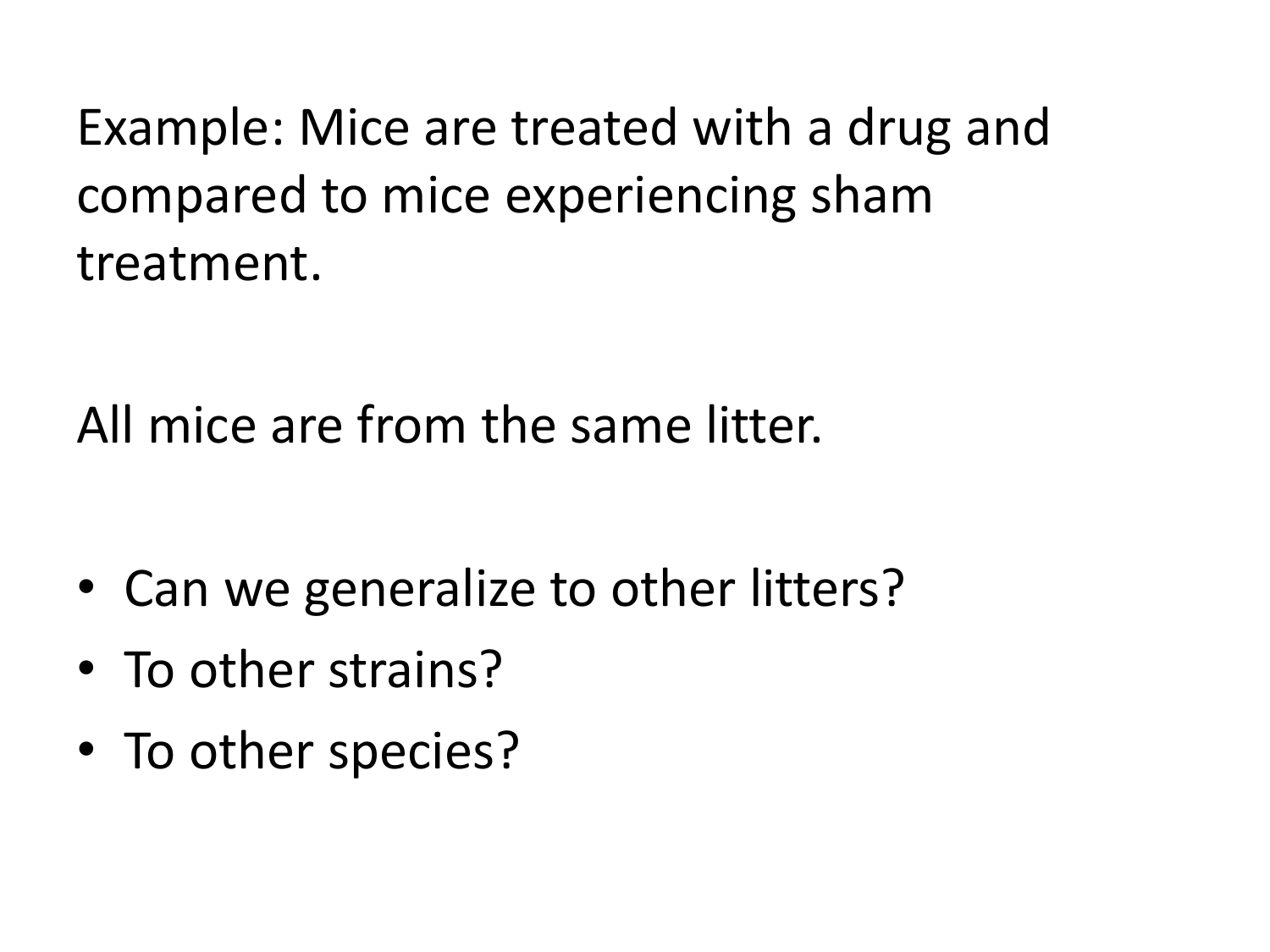Example: Mice are treated with a drug and compared to mice experiencing sham treatment.

All mice are from the same litter.

- Can we generalize to other litters?
- To other strains?
- To other species?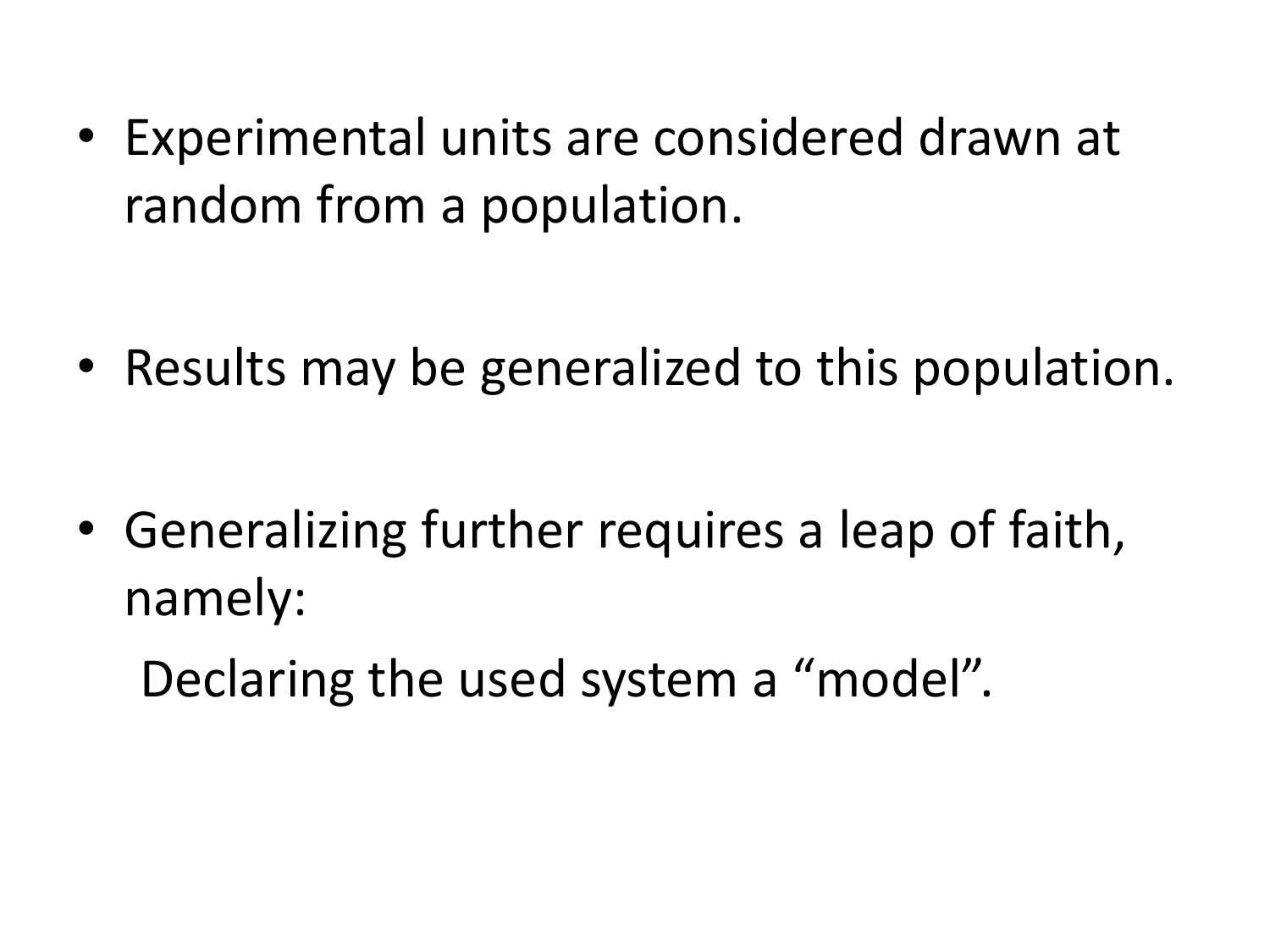• Experimental units are considered drawn at random from a population.

• Results may be generalized to this population.

• Generalizing further requires a leap of faith, namely:

Declaring the used system a "model".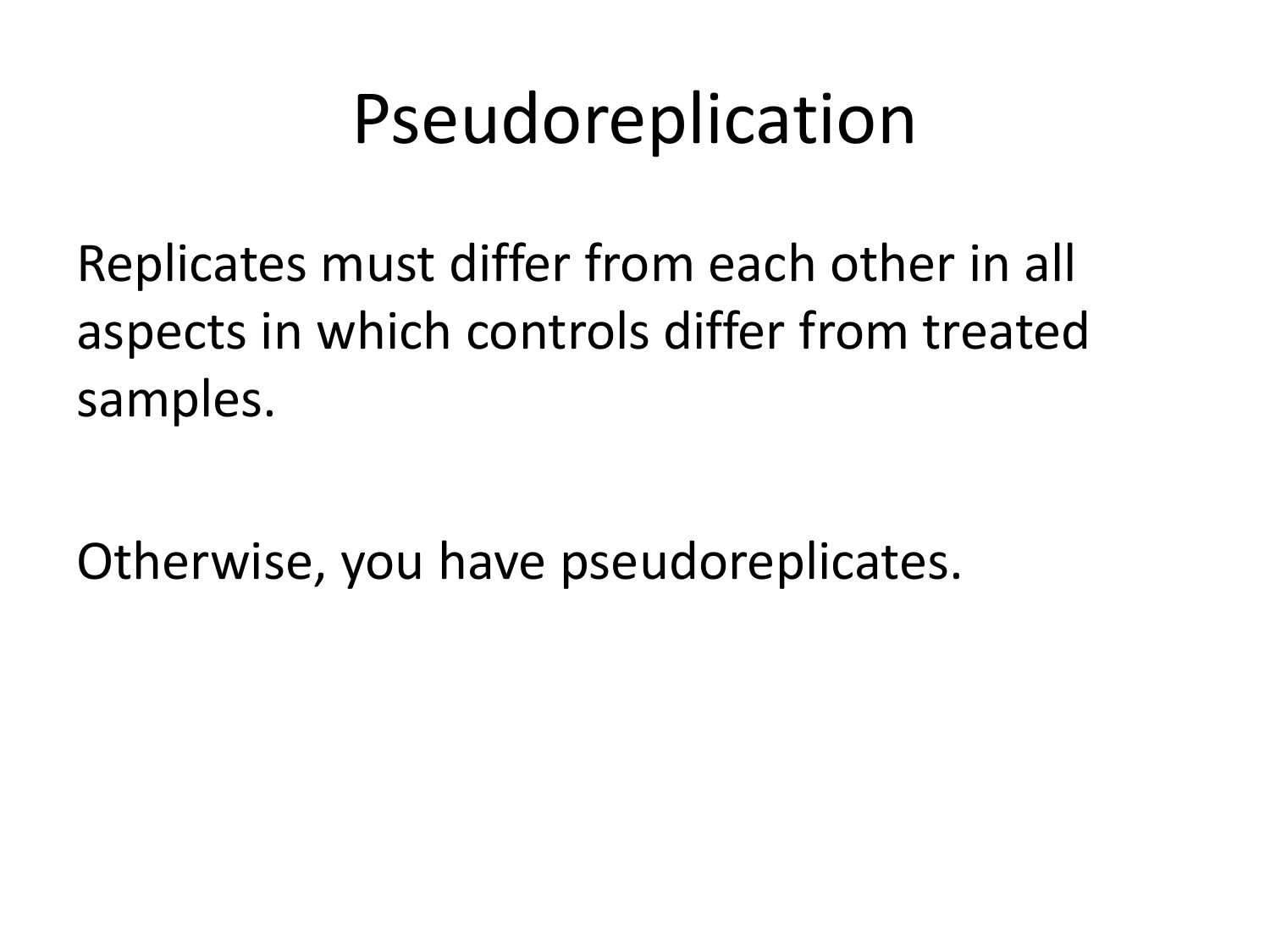### Pseudoreplication

Replicates must differ from each other in all aspects in which controls differ from treated samples.

Otherwise, you have pseudoreplicates.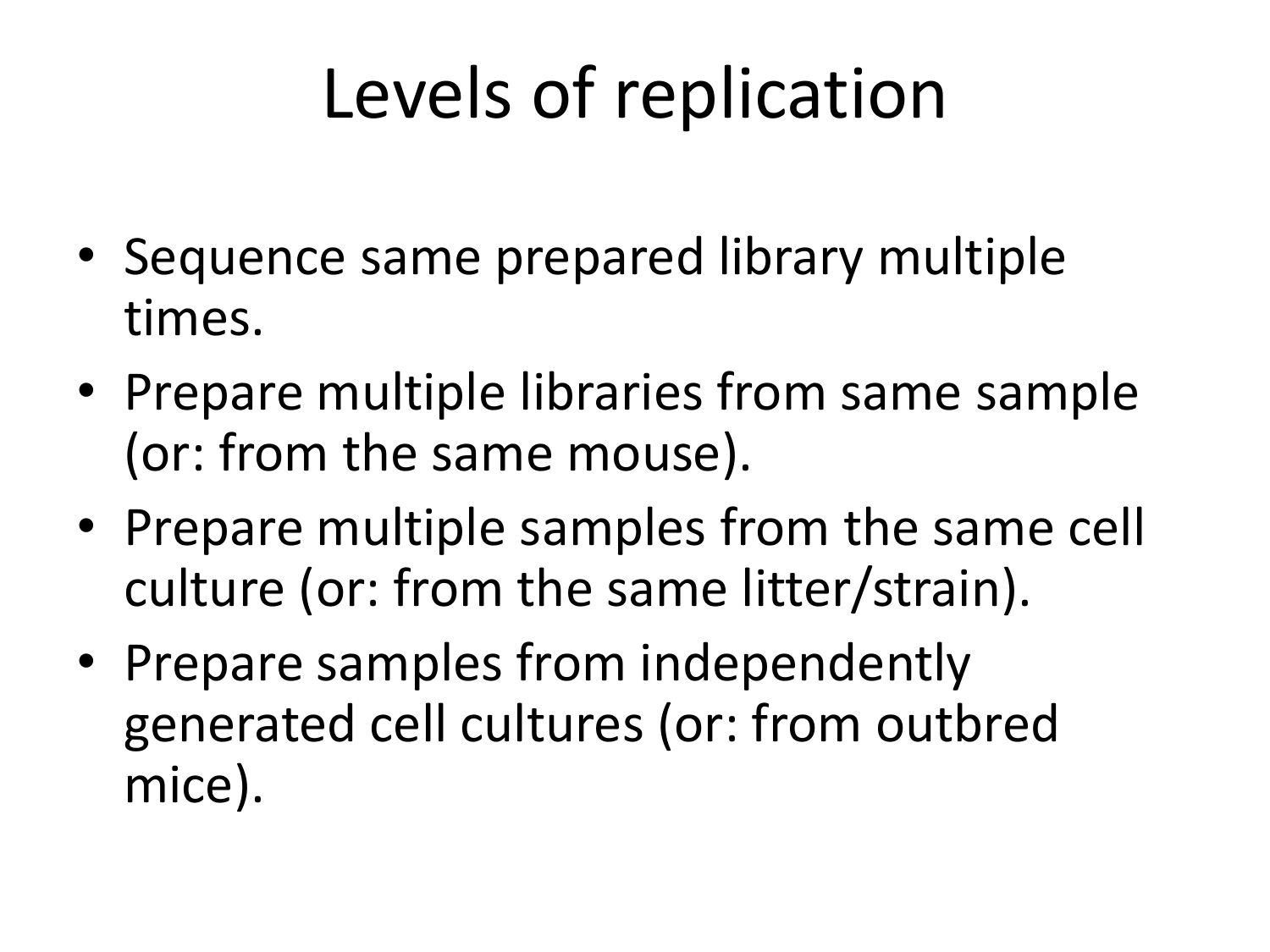# Levels of replication

- Sequence same prepared library multiple times.
- Prepare multiple libraries from same sample (or: from the same mouse).
- Prepare multiple samples from the same cell culture (or: from the same litter/strain).
- Prepare samples from independently generated cell cultures (or: from outbred mice).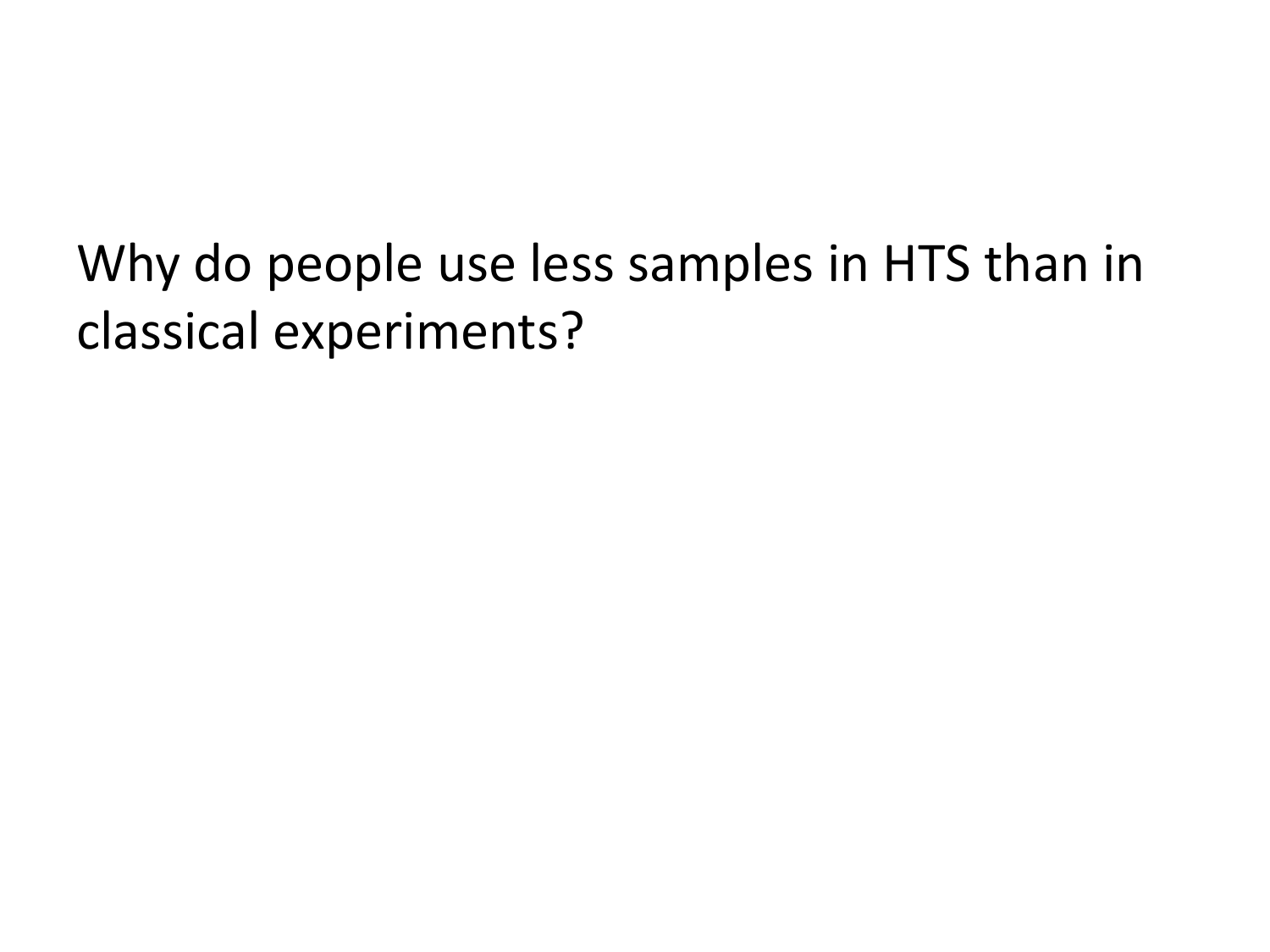Why do people use less samples in HTS than in classical experiments?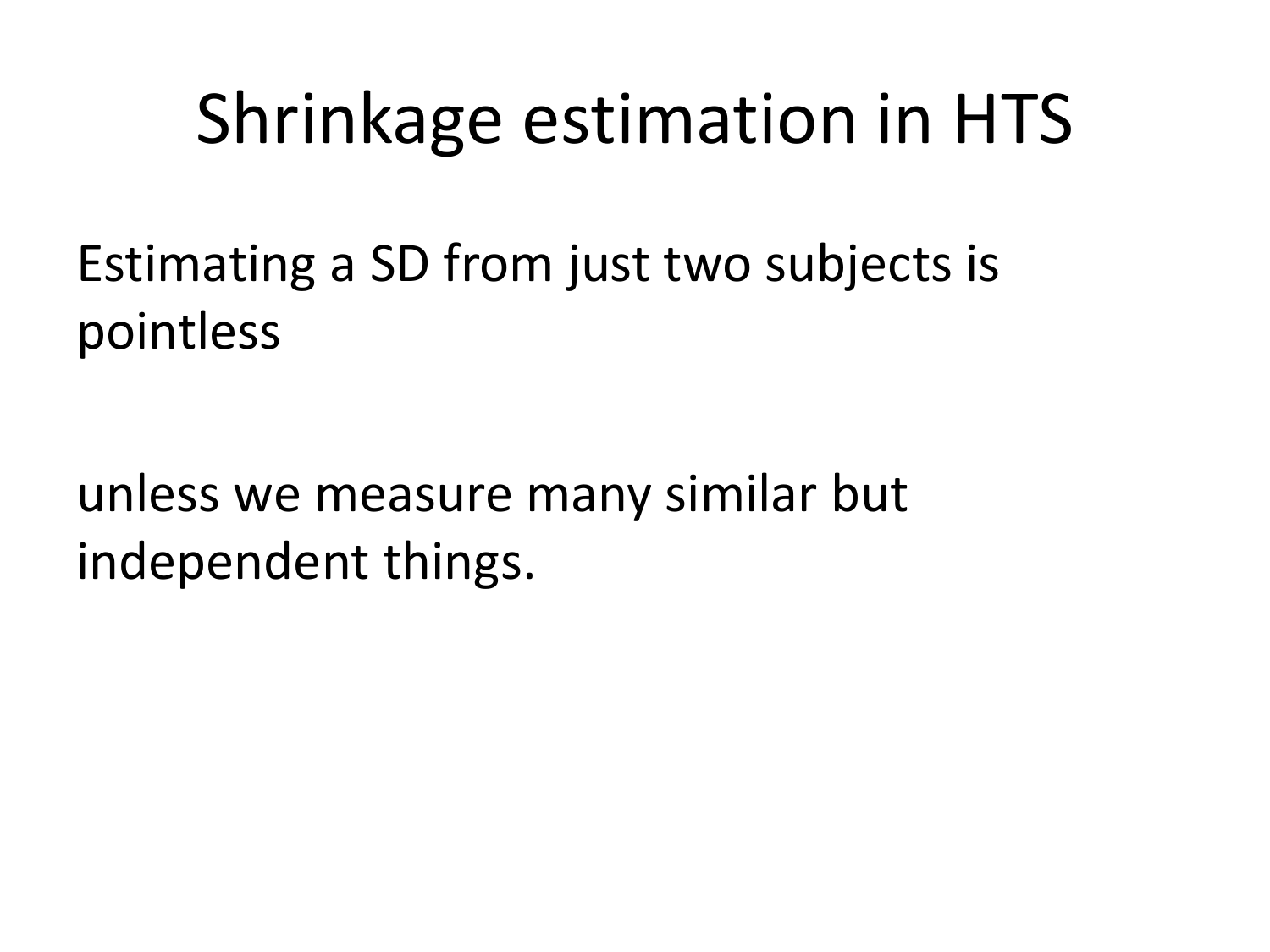### Shrinkage estimation in HTS

Estimating a SD from just two subjects is pointless

unless we measure many similar but independent things.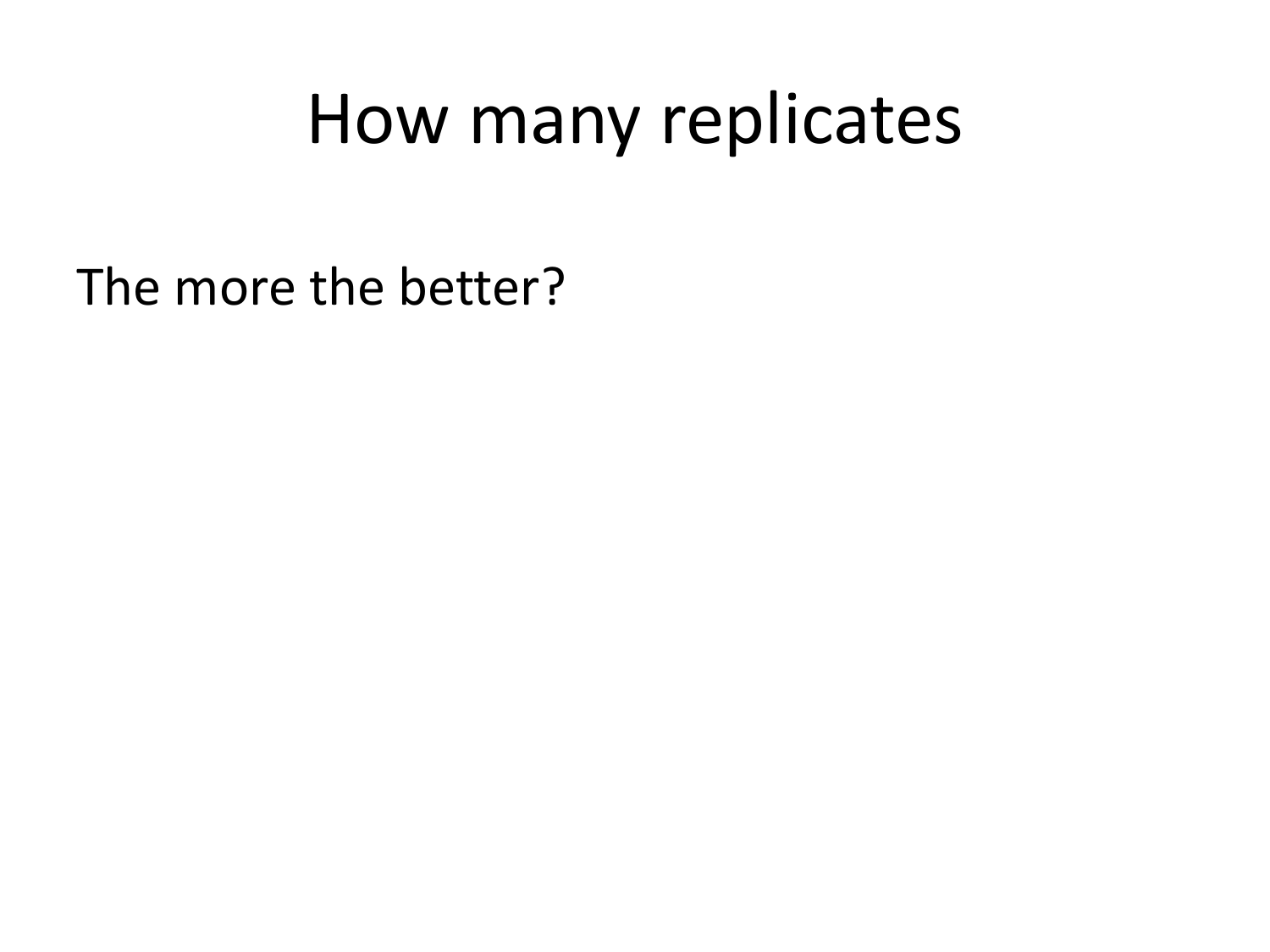### How many replicates

The more the better?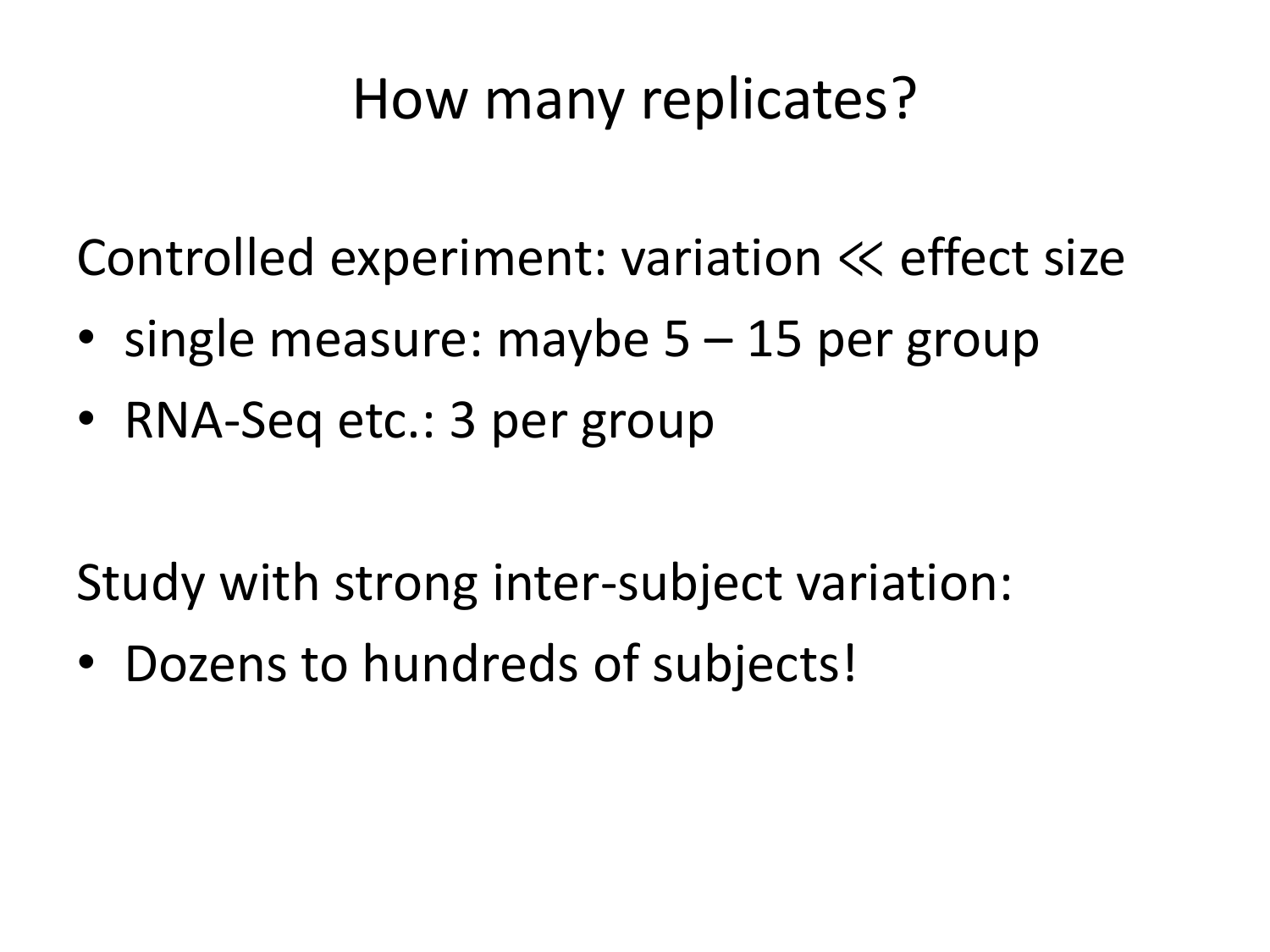### How many replicates?

Controlled experiment: variation ≪ effect size

- single measure: maybe 5 15 per group
- RNA-Seq etc.: 3 per group

Study with strong inter-subject variation:

• Dozens to hundreds of subjects!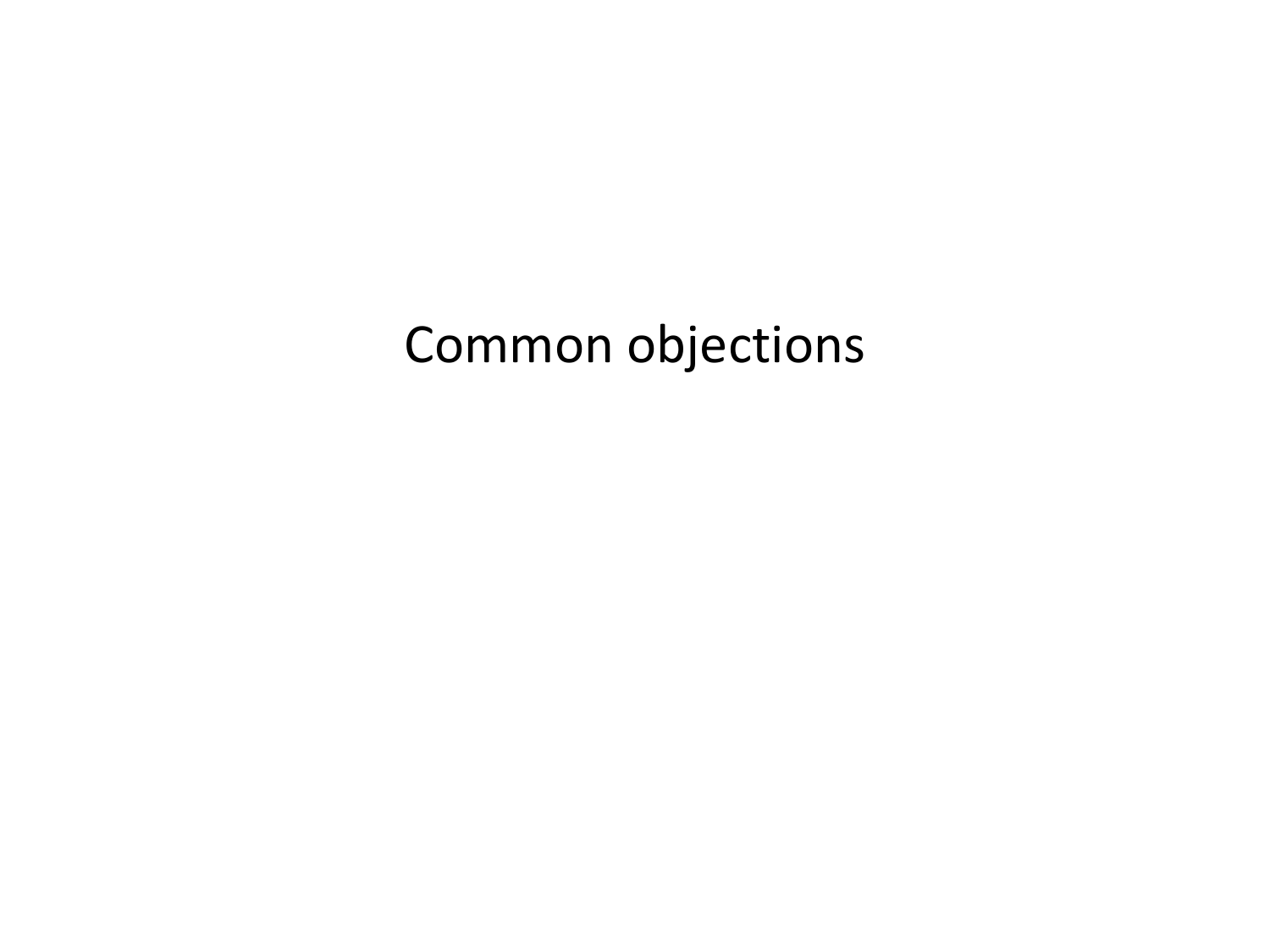#### Common objections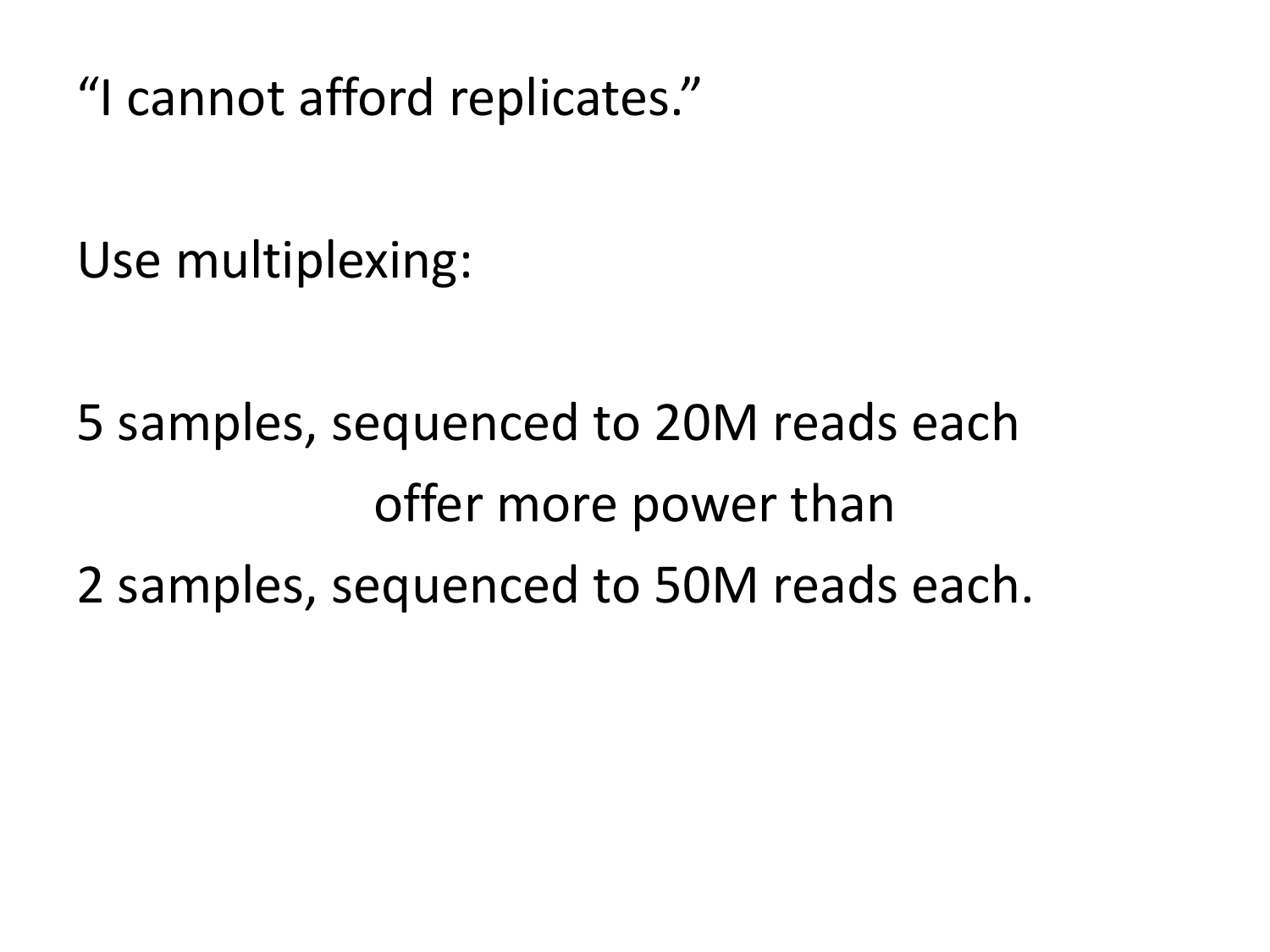"I cannot afford replicates."

Use multiplexing:

5 samples, sequenced to 20M reads each offer more power than 2 samples, sequenced to 50M reads each.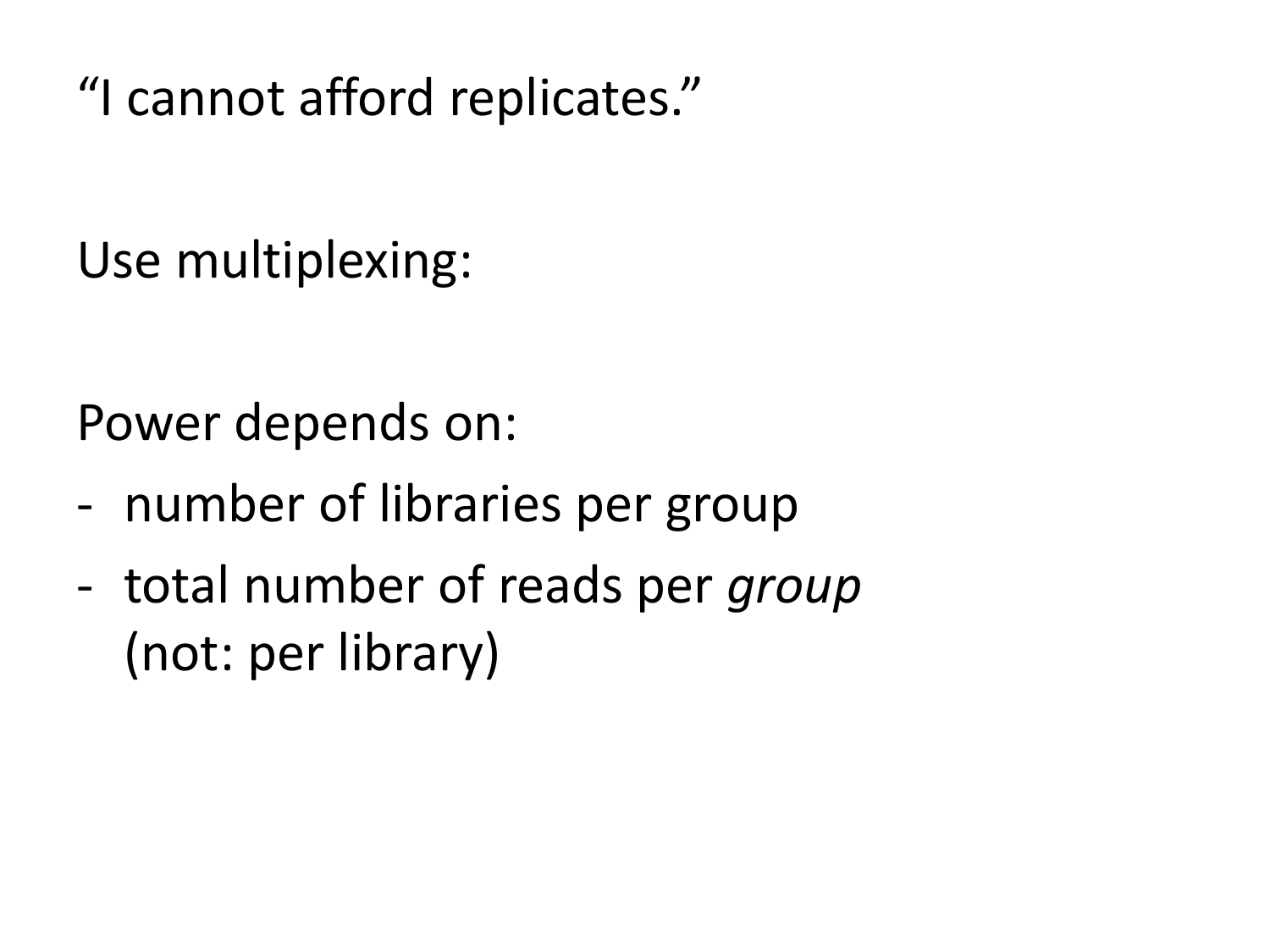"I cannot afford replicates."

Use multiplexing:

Power depends on:

- number of libraries per group
- total number of reads per *group*  (not: per library)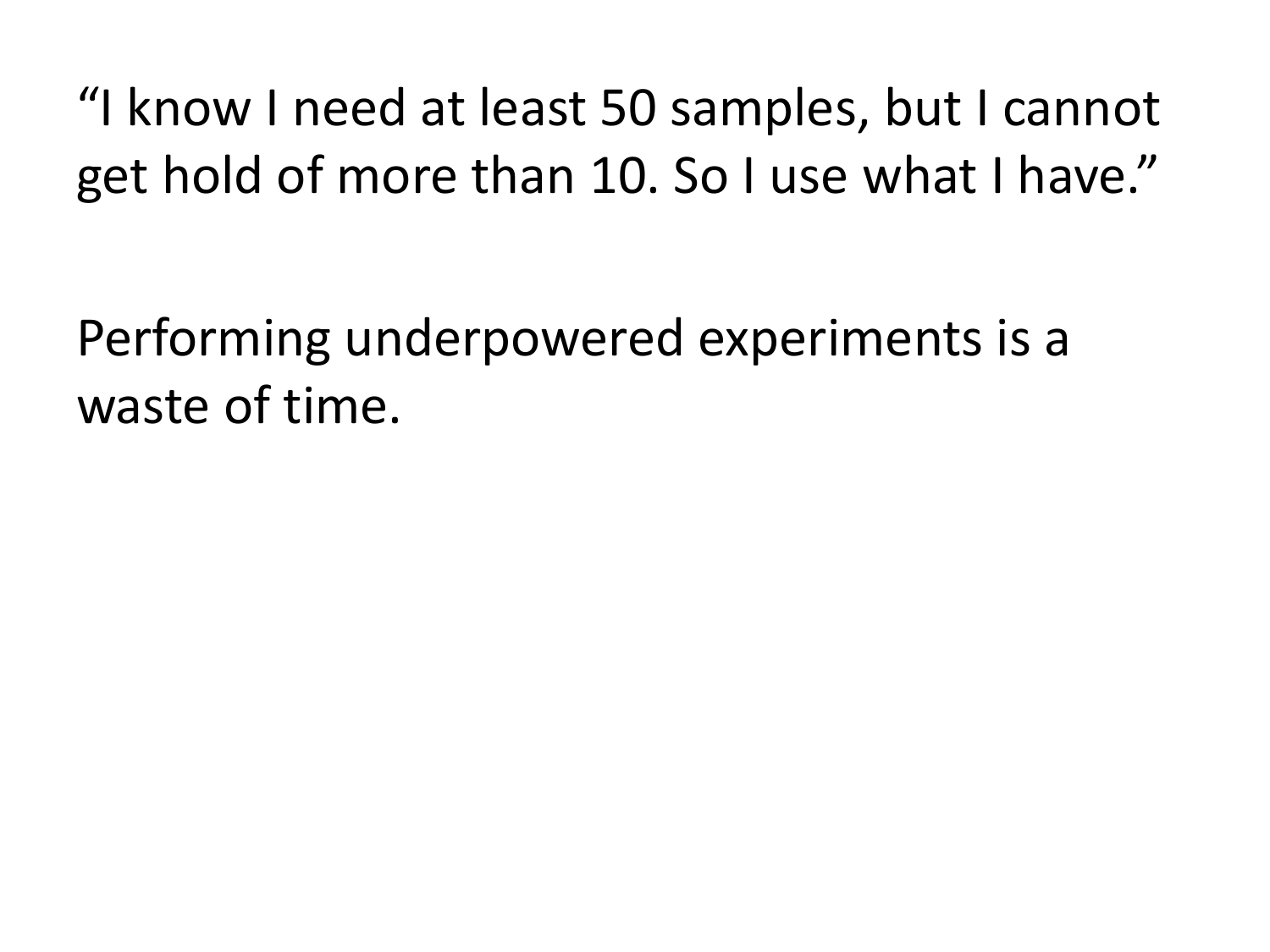"I know I need at least 50 samples, but I cannot get hold of more than 10. So I use what I have."

Performing underpowered experiments is a waste of time.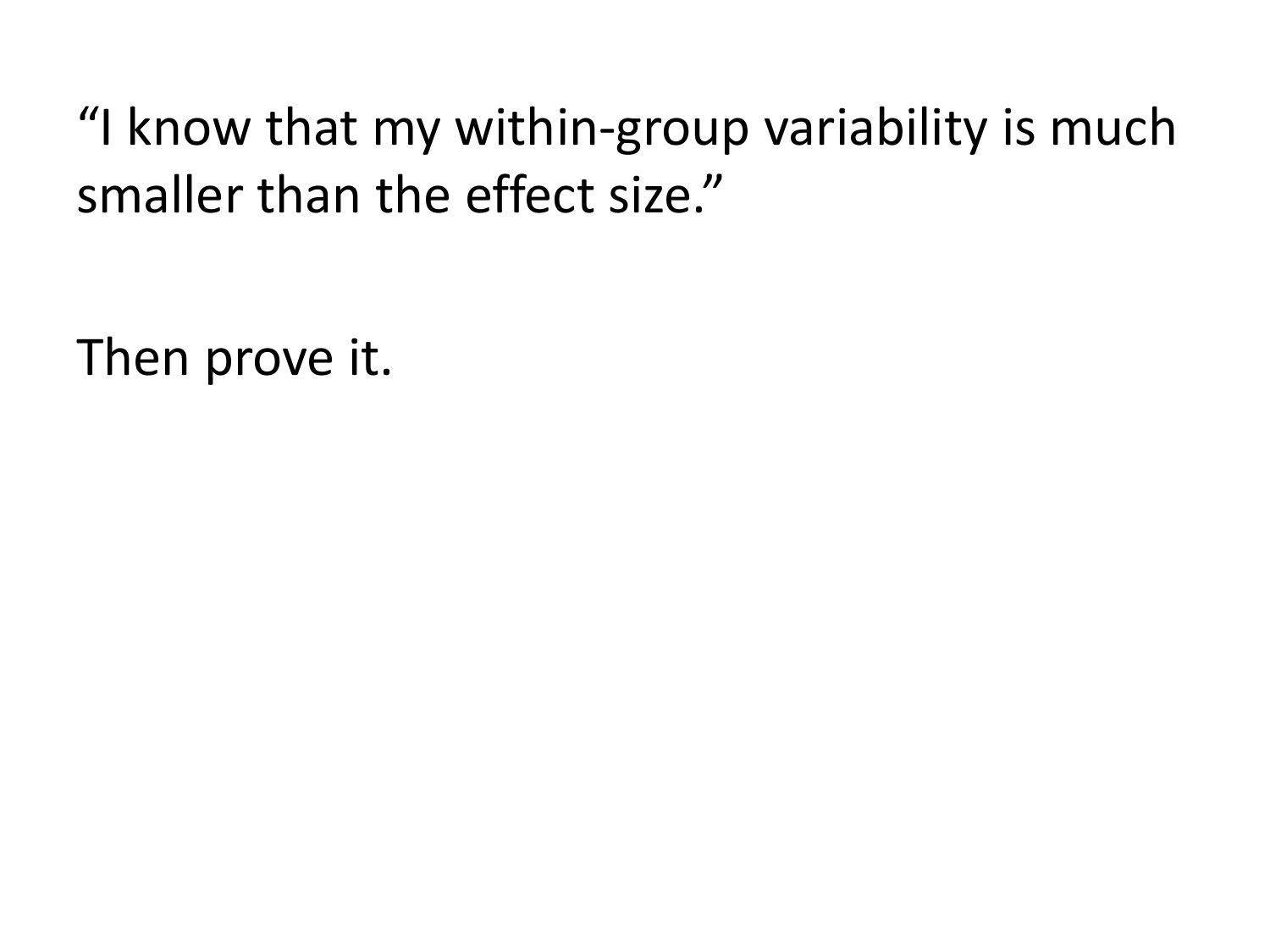"I know that my within-group variability is much smaller than the effect size."

Then prove it.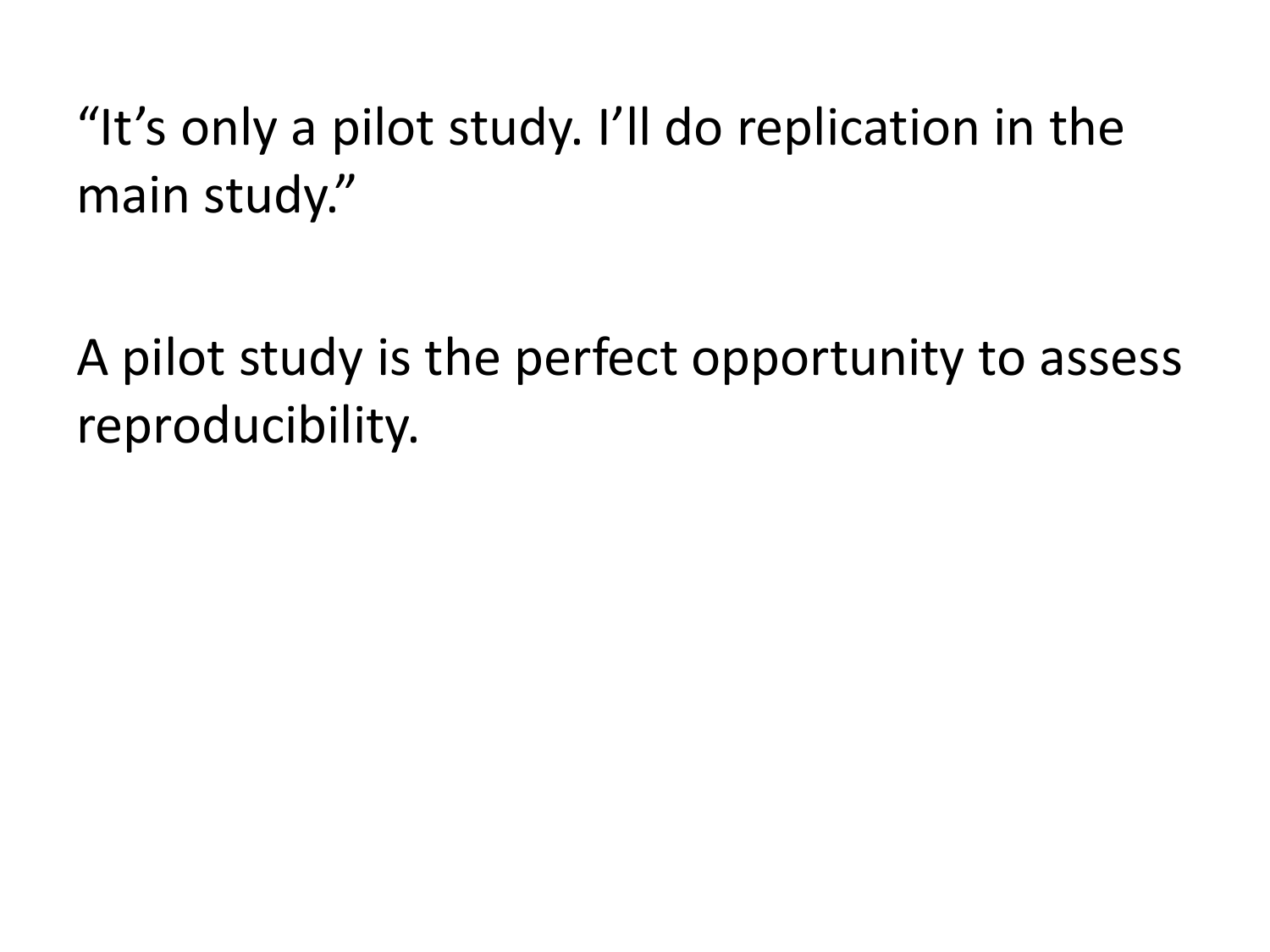"It's only a pilot study. I'll do replication in the main study."

A pilot study is the perfect opportunity to assess reproducibility.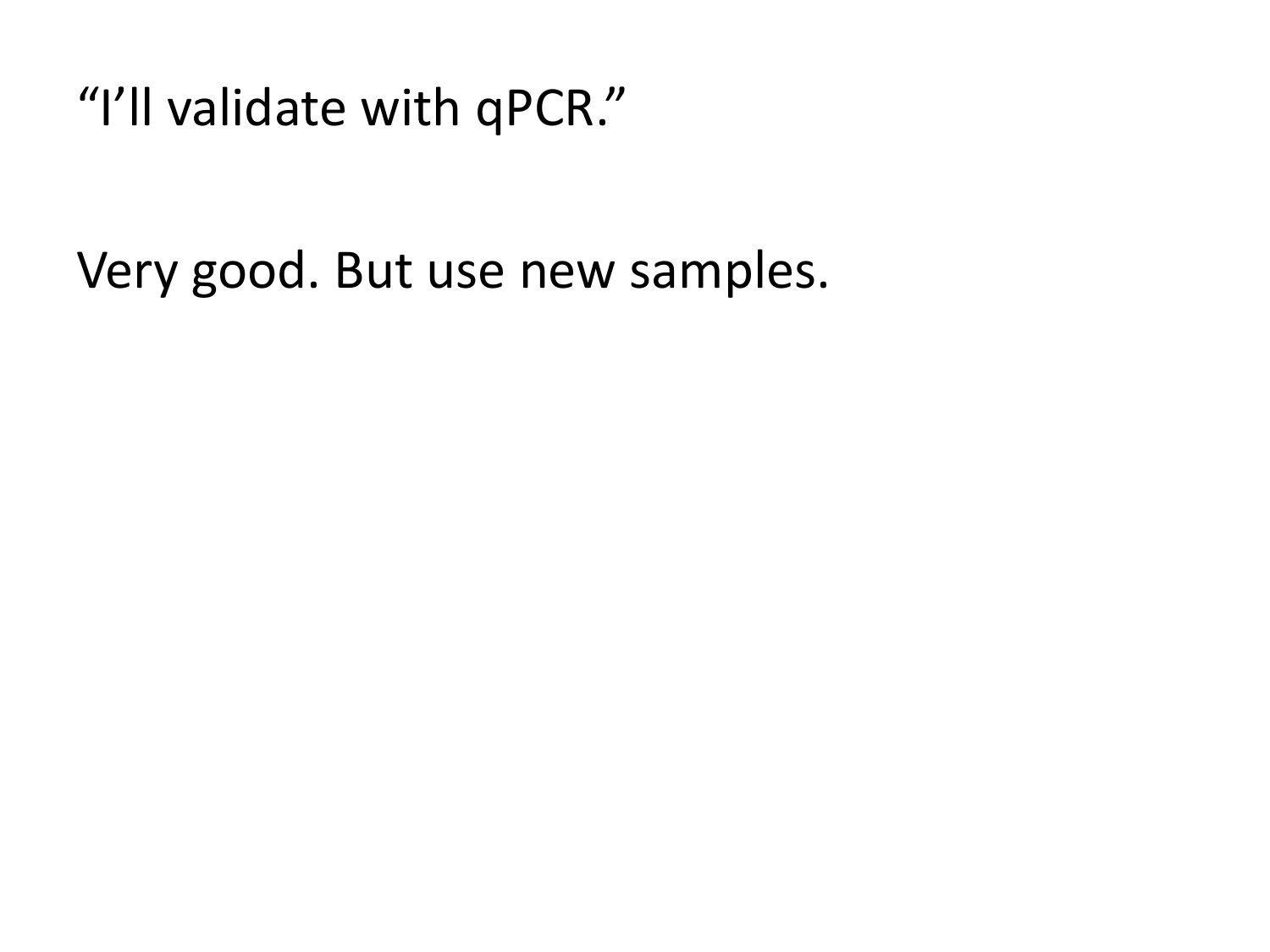"I'll validate with qPCR."

Very good. But use new samples.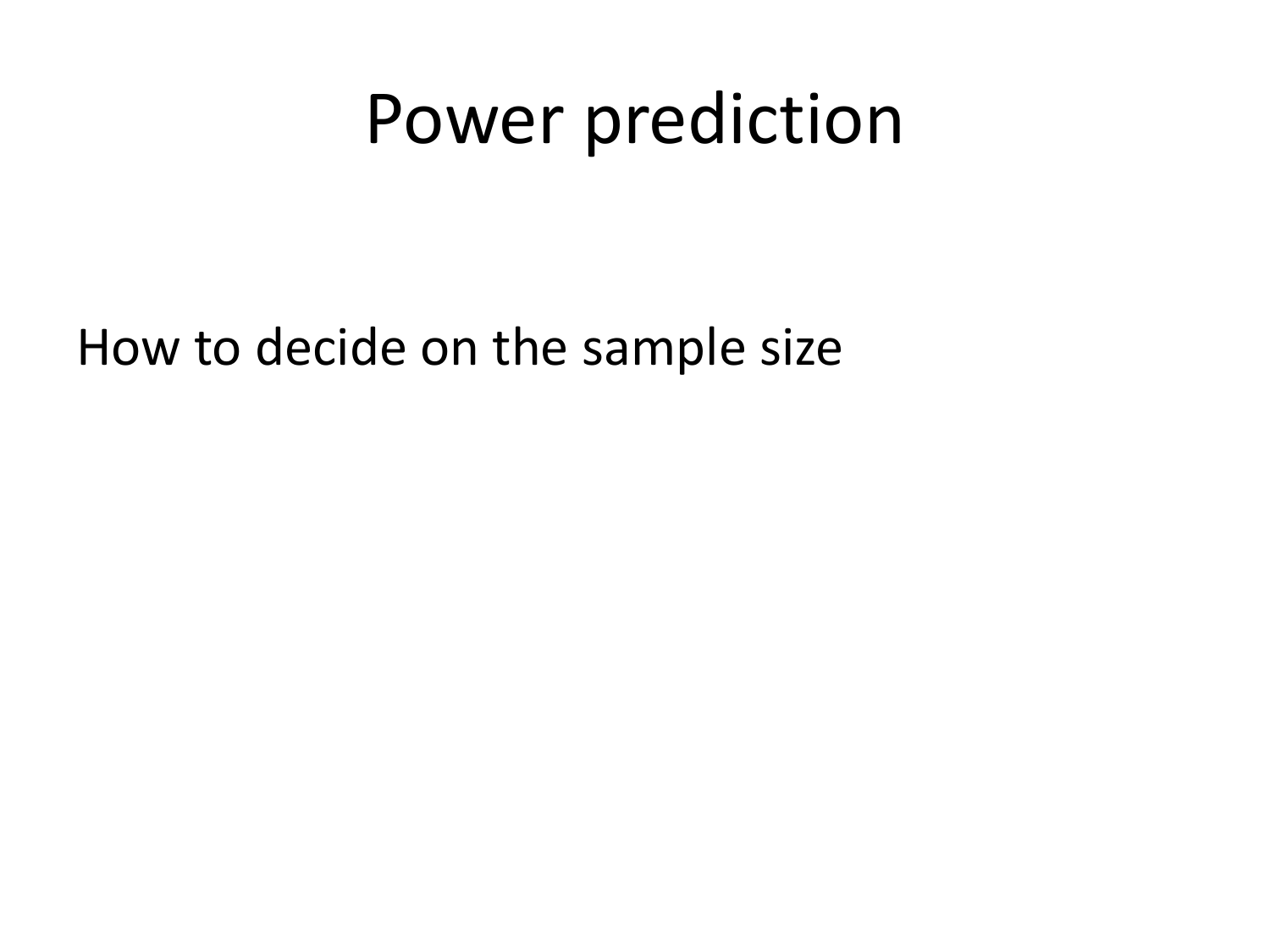### Power prediction

How to decide on the sample size